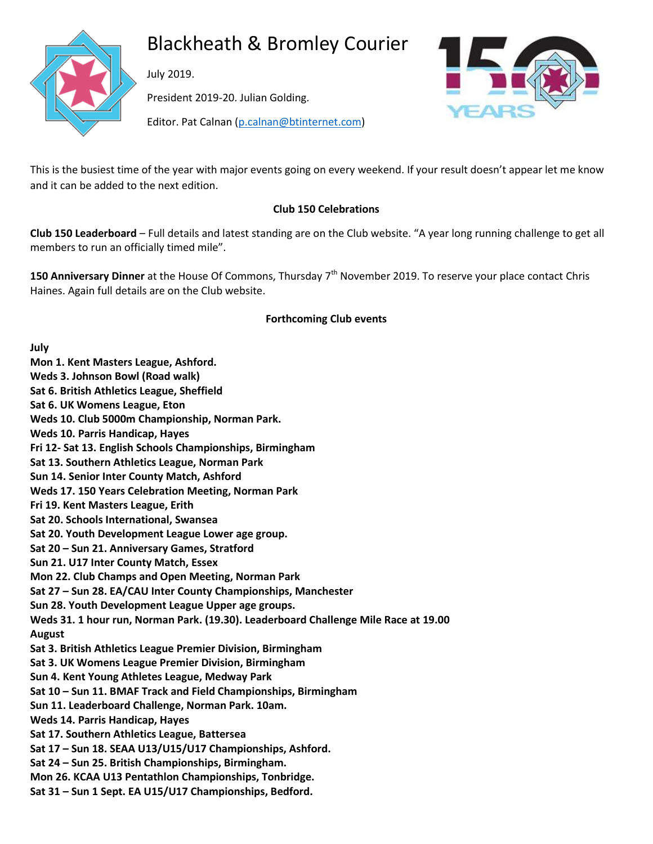

# Blackheath & Bromley Courier

July 2019.

President 2019-20. Julian Golding.



Editor. Pat Calnan [\(p.calnan@btinternet.com\)](mailto:p.calnan@btinternet.com)

This is the busiest time of the year with major events going on every weekend. If your result doesn't appear let me know and it can be added to the next edition.

## **Club 150 Celebrations**

**Club 150 Leaderboard** – Full details and latest standing are on the Club website. "A year long running challenge to get all members to run an officially timed mile".

**150 Anniversary Dinner** at the House Of Commons, Thursday 7<sup>th</sup> November 2019. To reserve your place contact Chris Haines. Again full details are on the Club website.

### **Forthcoming Club events**

**July Mon 1. Kent Masters League, Ashford. Weds 3. Johnson Bowl (Road walk) Sat 6. British Athletics League, Sheffield Sat 6. UK Womens League, Eton Weds 10. Club 5000m Championship, Norman Park. Weds 10. Parris Handicap, Hayes Fri 12- Sat 13. English Schools Championships, Birmingham Sat 13. Southern Athletics League, Norman Park Sun 14. Senior Inter County Match, Ashford Weds 17. 150 Years Celebration Meeting, Norman Park Fri 19. Kent Masters League, Erith Sat 20. Schools International, Swansea Sat 20. Youth Development League Lower age group. Sat 20 – Sun 21. Anniversary Games, Stratford Sun 21. U17 Inter County Match, Essex Mon 22. Club Champs and Open Meeting, Norman Park Sat 27 – Sun 28. EA/CAU Inter County Championships, Manchester Sun 28. Youth Development League Upper age groups. Weds 31. 1 hour run, Norman Park. (19.30). Leaderboard Challenge Mile Race at 19.00 August Sat 3. British Athletics League Premier Division, Birmingham Sat 3. UK Womens League Premier Division, Birmingham Sun 4. Kent Young Athletes League, Medway Park Sat 10 – Sun 11. BMAF Track and Field Championships, Birmingham Sun 11. Leaderboard Challenge, Norman Park. 10am. Weds 14. Parris Handicap, Hayes Sat 17. Southern Athletics League, Battersea Sat 17 – Sun 18. SEAA U13/U15/U17 Championships, Ashford. Sat 24 – Sun 25. British Championships, Birmingham. Mon 26. KCAA U13 Pentathlon Championships, Tonbridge. Sat 31 – Sun 1 Sept. EA U15/U17 Championships, Bedford.**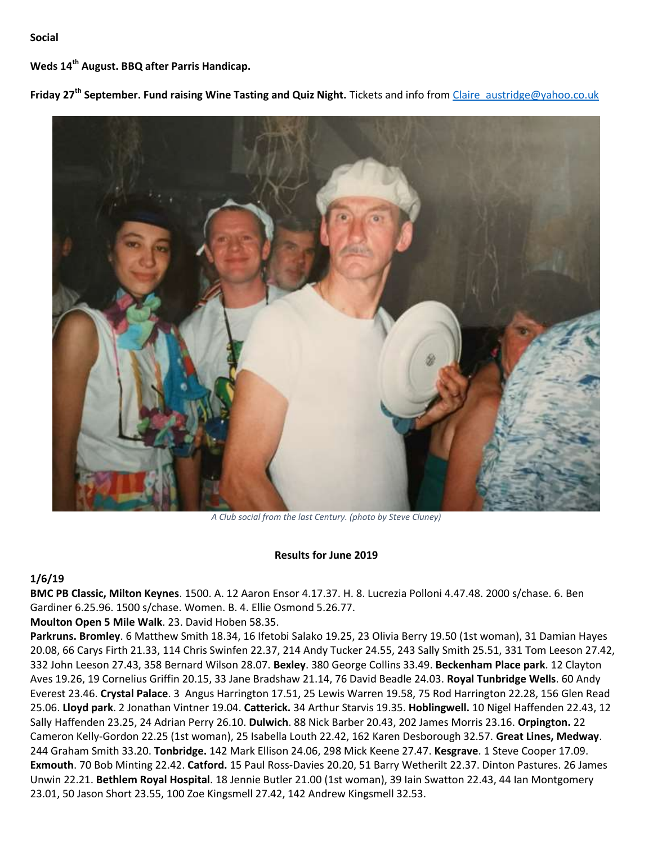#### **Social**

**Weds 14th August. BBQ after Parris Handicap.**

**Friday 27th September. Fund raising Wine Tasting and Quiz Night.** Tickets and info fro[m Claire\\_austridge@yahoo.co.uk](mailto:Claire_austridge@yahoo.co.uk)



*A Club social from the last Century. (photo by Steve Cluney)*

#### **Results for June 2019**

#### **1/6/19**

**BMC PB Classic, Milton Keynes**. 1500. A. 12 Aaron Ensor 4.17.37. H. 8. Lucrezia Polloni 4.47.48. 2000 s/chase. 6. Ben Gardiner 6.25.96. 1500 s/chase. Women. B. 4. Ellie Osmond 5.26.77.

**Moulton Open 5 Mile Walk**. 23. David Hoben 58.35.

**Parkruns. Bromley**. 6 Matthew Smith 18.34, 16 Ifetobi Salako 19.25, 23 Olivia Berry 19.50 (1st woman), 31 Damian Hayes 20.08, 66 Carys Firth 21.33, 114 Chris Swinfen 22.37, 214 Andy Tucker 24.55, 243 Sally Smith 25.51, 331 Tom Leeson 27.42, 332 John Leeson 27.43, 358 Bernard Wilson 28.07. **Bexley**. 380 George Collins 33.49. **Beckenham Place park**. 12 Clayton Aves 19.26, 19 Cornelius Griffin 20.15, 33 Jane Bradshaw 21.14, 76 David Beadle 24.03. **Royal Tunbridge Wells**. 60 Andy Everest 23.46. **Crystal Palace**. 3 Angus Harrington 17.51, 25 Lewis Warren 19.58, 75 Rod Harrington 22.28, 156 Glen Read 25.06. **Lloyd park**. 2 Jonathan Vintner 19.04. **Catterick.** 34 Arthur Starvis 19.35. **Hoblingwell.** 10 Nigel Haffenden 22.43, 12 Sally Haffenden 23.25, 24 Adrian Perry 26.10. **Dulwich**. 88 Nick Barber 20.43, 202 James Morris 23.16. **Orpington.** 22 Cameron Kelly-Gordon 22.25 (1st woman), 25 Isabella Louth 22.42, 162 Karen Desborough 32.57. **Great Lines, Medway**. 244 Graham Smith 33.20. **Tonbridge.** 142 Mark Ellison 24.06, 298 Mick Keene 27.47. **Kesgrave**. 1 Steve Cooper 17.09. **Exmouth**. 70 Bob Minting 22.42. **Catford.** 15 Paul Ross-Davies 20.20, 51 Barry Wetherilt 22.37. Dinton Pastures. 26 James Unwin 22.21. **Bethlem Royal Hospital**. 18 Jennie Butler 21.00 (1st woman), 39 Iain Swatton 22.43, 44 Ian Montgomery 23.01, 50 Jason Short 23.55, 100 Zoe Kingsmell 27.42, 142 Andrew Kingsmell 32.53.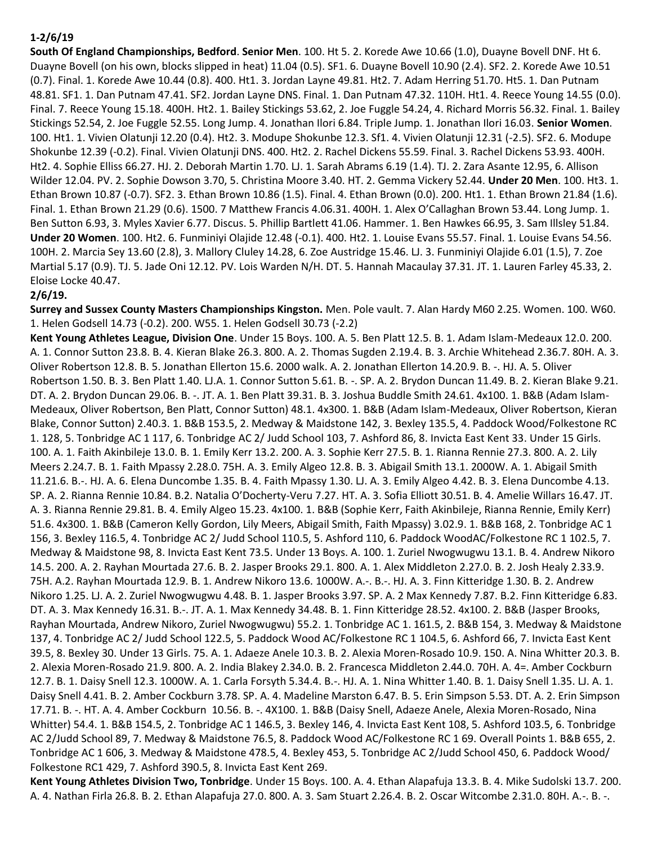### **1-2/6/19**

**South Of England Championships, Bedford**. **Senior Men**. 100. Ht 5. 2. Korede Awe 10.66 (1.0), Duayne Bovell DNF. Ht 6. Duayne Bovell (on his own, blocks slipped in heat) 11.04 (0.5). SF1. 6. Duayne Bovell 10.90 (2.4). SF2. 2. Korede Awe 10.51 (0.7). Final. 1. Korede Awe 10.44 (0.8). 400. Ht1. 3. Jordan Layne 49.81. Ht2. 7. Adam Herring 51.70. Ht5. 1. Dan Putnam 48.81. SF1. 1. Dan Putnam 47.41. SF2. Jordan Layne DNS. Final. 1. Dan Putnam 47.32. 110H. Ht1. 4. Reece Young 14.55 (0.0). Final. 7. Reece Young 15.18. 400H. Ht2. 1. Bailey Stickings 53.62, 2. Joe Fuggle 54.24, 4. Richard Morris 56.32. Final. 1. Bailey Stickings 52.54, 2. Joe Fuggle 52.55. Long Jump. 4. Jonathan Ilori 6.84. Triple Jump. 1. Jonathan Ilori 16.03. **Senior Women**. 100. Ht1. 1. Vivien Olatunji 12.20 (0.4). Ht2. 3. Modupe Shokunbe 12.3. Sf1. 4. Vivien Olatunji 12.31 (-2.5). SF2. 6. Modupe Shokunbe 12.39 (-0.2). Final. Vivien Olatunji DNS. 400. Ht2. 2. Rachel Dickens 55.59. Final. 3. Rachel Dickens 53.93. 400H. Ht2. 4. Sophie Elliss 66.27. HJ. 2. Deborah Martin 1.70. LJ. 1. Sarah Abrams 6.19 (1.4). TJ. 2. Zara Asante 12.95, 6. Allison Wilder 12.04. PV. 2. Sophie Dowson 3.70, 5. Christina Moore 3.40. HT. 2. Gemma Vickery 52.44. **Under 20 Men**. 100. Ht3. 1. Ethan Brown 10.87 (-0.7). SF2. 3. Ethan Brown 10.86 (1.5). Final. 4. Ethan Brown (0.0). 200. Ht1. 1. Ethan Brown 21.84 (1.6). Final. 1. Ethan Brown 21.29 (0.6). 1500. 7 Matthew Francis 4.06.31. 400H. 1. Alex O'Callaghan Brown 53.44. Long Jump. 1. Ben Sutton 6.93, 3. Myles Xavier 6.77. Discus. 5. Phillip Bartlett 41.06. Hammer. 1. Ben Hawkes 66.95, 3. Sam Illsley 51.84. **Under 20 Women**. 100. Ht2. 6. Funminiyi Olajide 12.48 (-0.1). 400. Ht2. 1. Louise Evans 55.57. Final. 1. Louise Evans 54.56. 100H. 2. Marcia Sey 13.60 (2.8), 3. Mallory Cluley 14.28, 6. Zoe Austridge 15.46. LJ. 3. Funminiyi Olajide 6.01 (1.5), 7. Zoe Martial 5.17 (0.9). TJ. 5. Jade Oni 12.12. PV. Lois Warden N/H. DT. 5. Hannah Macaulay 37.31. JT. 1. Lauren Farley 45.33, 2. Eloise Locke 40.47.

#### **2/6/19.**

**Surrey and Sussex County Masters Championships Kingston.** Men. Pole vault. 7. Alan Hardy M60 2.25. Women. 100. W60. 1. Helen Godsell 14.73 (-0.2). 200. W55. 1. Helen Godsell 30.73 (-2.2)

**Kent Young Athletes League, Division One**. Under 15 Boys. 100. A. 5. Ben Platt 12.5. B. 1. Adam Islam-Medeaux 12.0. 200. A. 1. Connor Sutton 23.8. B. 4. Kieran Blake 26.3. 800. A. 2. Thomas Sugden 2.19.4. B. 3. Archie Whitehead 2.36.7. 80H. A. 3. Oliver Robertson 12.8. B. 5. Jonathan Ellerton 15.6. 2000 walk. A. 2. Jonathan Ellerton 14.20.9. B. -. HJ. A. 5. Oliver Robertson 1.50. B. 3. Ben Platt 1.40. LJ.A. 1. Connor Sutton 5.61. B. -. SP. A. 2. Brydon Duncan 11.49. B. 2. Kieran Blake 9.21. DT. A. 2. Brydon Duncan 29.06. B. -. JT. A. 1. Ben Platt 39.31. B. 3. Joshua Buddle Smith 24.61. 4x100. 1. B&B (Adam Islam-Medeaux, Oliver Robertson, Ben Platt, Connor Sutton) 48.1. 4x300. 1. B&B (Adam Islam-Medeaux, Oliver Robertson, Kieran Blake, Connor Sutton) 2.40.3. 1. B&B 153.5, 2. Medway & Maidstone 142, 3. Bexley 135.5, 4. Paddock Wood/Folkestone RC 1. 128, 5. Tonbridge AC 1 117, 6. Tonbridge AC 2/ Judd School 103, 7. Ashford 86, 8. Invicta East Kent 33. Under 15 Girls. 100. A. 1. Faith Akinbileje 13.0. B. 1. Emily Kerr 13.2. 200. A. 3. Sophie Kerr 27.5. B. 1. Rianna Rennie 27.3. 800. A. 2. Lily Meers 2.24.7. B. 1. Faith Mpassy 2.28.0. 75H. A. 3. Emily Algeo 12.8. B. 3. Abigail Smith 13.1. 2000W. A. 1. Abigail Smith 11.21.6. B.-. HJ. A. 6. Elena Duncombe 1.35. B. 4. Faith Mpassy 1.30. LJ. A. 3. Emily Algeo 4.42. B. 3. Elena Duncombe 4.13. SP. A. 2. Rianna Rennie 10.84. B.2. Natalia O'Docherty-Veru 7.27. HT. A. 3. Sofia Elliott 30.51. B. 4. Amelie Willars 16.47. JT. A. 3. Rianna Rennie 29.81. B. 4. Emily Algeo 15.23. 4x100. 1. B&B (Sophie Kerr, Faith Akinbileje, Rianna Rennie, Emily Kerr) 51.6. 4x300. 1. B&B (Cameron Kelly Gordon, Lily Meers, Abigail Smith, Faith Mpassy) 3.02.9. 1. B&B 168, 2. Tonbridge AC 1 156, 3. Bexley 116.5, 4. Tonbridge AC 2/ Judd School 110.5, 5. Ashford 110, 6. Paddock WoodAC/Folkestone RC 1 102.5, 7. Medway & Maidstone 98, 8. Invicta East Kent 73.5. Under 13 Boys. A. 100. 1. Zuriel Nwogwugwu 13.1. B. 4. Andrew Nikoro 14.5. 200. A. 2. Rayhan Mourtada 27.6. B. 2. Jasper Brooks 29.1. 800. A. 1. Alex Middleton 2.27.0. B. 2. Josh Healy 2.33.9. 75H. A.2. Rayhan Mourtada 12.9. B. 1. Andrew Nikoro 13.6. 1000W. A.-. B.-. HJ. A. 3. Finn Kitteridge 1.30. B. 2. Andrew Nikoro 1.25. LJ. A. 2. Zuriel Nwogwugwu 4.48. B. 1. Jasper Brooks 3.97. SP. A. 2 Max Kennedy 7.87. B.2. Finn Kitteridge 6.83. DT. A. 3. Max Kennedy 16.31. B.-. JT. A. 1. Max Kennedy 34.48. B. 1. Finn Kitteridge 28.52. 4x100. 2. B&B (Jasper Brooks, Rayhan Mourtada, Andrew Nikoro, Zuriel Nwogwugwu) 55.2. 1. Tonbridge AC 1. 161.5, 2. B&B 154, 3. Medway & Maidstone 137, 4. Tonbridge AC 2/ Judd School 122.5, 5. Paddock Wood AC/Folkestone RC 1 104.5, 6. Ashford 66, 7. Invicta East Kent 39.5, 8. Bexley 30. Under 13 Girls. 75. A. 1. Adaeze Anele 10.3. B. 2. Alexia Moren-Rosado 10.9. 150. A. Nina Whitter 20.3. B. 2. Alexia Moren-Rosado 21.9. 800. A. 2. India Blakey 2.34.0. B. 2. Francesca Middleton 2.44.0. 70H. A. 4=. Amber Cockburn 12.7. B. 1. Daisy Snell 12.3. 1000W. A. 1. Carla Forsyth 5.34.4. B.-. HJ. A. 1. Nina Whitter 1.40. B. 1. Daisy Snell 1.35. LJ. A. 1. Daisy Snell 4.41. B. 2. Amber Cockburn 3.78. SP. A. 4. Madeline Marston 6.47. B. 5. Erin Simpson 5.53. DT. A. 2. Erin Simpson 17.71. B. -. HT. A. 4. Amber Cockburn 10.56. B. -. 4X100. 1. B&B (Daisy Snell, Adaeze Anele, Alexia Moren-Rosado, Nina Whitter) 54.4. 1. B&B 154.5, 2. Tonbridge AC 1 146.5, 3. Bexley 146, 4. Invicta East Kent 108, 5. Ashford 103.5, 6. Tonbridge AC 2/Judd School 89, 7. Medway & Maidstone 76.5, 8. Paddock Wood AC/Folkestone RC 1 69. Overall Points 1. B&B 655, 2. Tonbridge AC 1 606, 3. Medway & Maidstone 478.5, 4. Bexley 453, 5. Tonbridge AC 2/Judd School 450, 6. Paddock Wood/ Folkestone RC1 429, 7. Ashford 390.5, 8. Invicta East Kent 269.

**Kent Young Athletes Division Two, Tonbridge**. Under 15 Boys. 100. A. 4. Ethan Alapafuja 13.3. B. 4. Mike Sudolski 13.7. 200. A. 4. Nathan Firla 26.8. B. 2. Ethan Alapafuja 27.0. 800. A. 3. Sam Stuart 2.26.4. B. 2. Oscar Witcombe 2.31.0. 80H. A.-. B. -.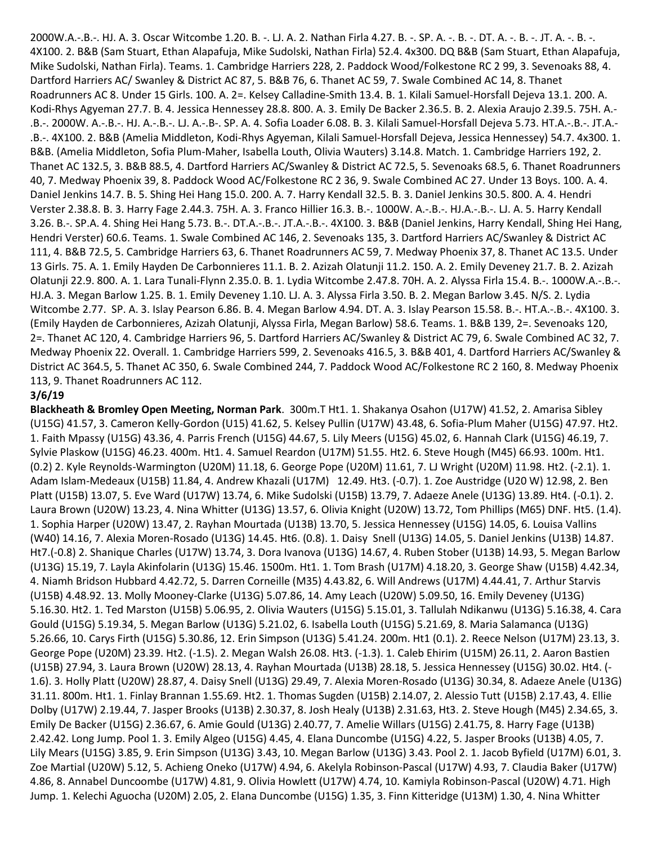2000W.A.-.B.-. HJ. A. 3. Oscar Witcombe 1.20. B. -. LJ. A. 2. Nathan Firla 4.27. B. -. SP. A. -. B. -. DT. A. -. B. -. JT. A. -. B. -. 4X100. 2. B&B (Sam Stuart, Ethan Alapafuja, Mike Sudolski, Nathan Firla) 52.4. 4x300. DQ B&B (Sam Stuart, Ethan Alapafuja, Mike Sudolski, Nathan Firla). Teams. 1. Cambridge Harriers 228, 2. Paddock Wood/Folkestone RC 2 99, 3. Sevenoaks 88, 4. Dartford Harriers AC/ Swanley & District AC 87, 5. B&B 76, 6. Thanet AC 59, 7. Swale Combined AC 14, 8. Thanet Roadrunners AC 8. Under 15 Girls. 100. A. 2=. Kelsey Calladine-Smith 13.4. B. 1. Kilali Samuel-Horsfall Dejeva 13.1. 200. A. Kodi-Rhys Agyeman 27.7. B. 4. Jessica Hennessey 28.8. 800. A. 3. Emily De Backer 2.36.5. B. 2. Alexia Araujo 2.39.5. 75H. A.- .B.-. 2000W. A.-.B.-. HJ. A.-.B.-. LJ. A.-.B-. SP. A. 4. Sofia Loader 6.08. B. 3. Kilali Samuel-Horsfall Dejeva 5.73. HT.A.-.B.-. JT.A.- .B.-. 4X100. 2. B&B (Amelia Middleton, Kodi-Rhys Agyeman, Kilali Samuel-Horsfall Dejeva, Jessica Hennessey) 54.7. 4x300. 1. B&B. (Amelia Middleton, Sofia Plum-Maher, Isabella Louth, Olivia Wauters) 3.14.8. Match. 1. Cambridge Harriers 192, 2. Thanet AC 132.5, 3. B&B 88.5, 4. Dartford Harriers AC/Swanley & District AC 72.5, 5. Sevenoaks 68.5, 6. Thanet Roadrunners 40, 7. Medway Phoenix 39, 8. Paddock Wood AC/Folkestone RC 2 36, 9. Swale Combined AC 27. Under 13 Boys. 100. A. 4. Daniel Jenkins 14.7. B. 5. Shing Hei Hang 15.0. 200. A. 7. Harry Kendall 32.5. B. 3. Daniel Jenkins 30.5. 800. A. 4. Hendri Verster 2.38.8. B. 3. Harry Fage 2.44.3. 75H. A. 3. Franco Hillier 16.3. B.-. 1000W. A.-.B.-. HJ.A.-.B.-. LJ. A. 5. Harry Kendall 3.26. B.-. SP.A. 4. Shing Hei Hang 5.73. B.-. DT.A.-.B.-. JT.A.-.B.-. 4X100. 3. B&B (Daniel Jenkins, Harry Kendall, Shing Hei Hang, Hendri Verster) 60.6. Teams. 1. Swale Combined AC 146, 2. Sevenoaks 135, 3. Dartford Harriers AC/Swanley & District AC 111, 4. B&B 72.5, 5. Cambridge Harriers 63, 6. Thanet Roadrunners AC 59, 7. Medway Phoenix 37, 8. Thanet AC 13.5. Under 13 Girls. 75. A. 1. Emily Hayden De Carbonnieres 11.1. B. 2. Azizah Olatunji 11.2. 150. A. 2. Emily Deveney 21.7. B. 2. Azizah Olatunji 22.9. 800. A. 1. Lara Tunali-Flynn 2.35.0. B. 1. Lydia Witcombe 2.47.8. 70H. A. 2. Alyssa Firla 15.4. B.-. 1000W.A.-.B.-. HJ.A. 3. Megan Barlow 1.25. B. 1. Emily Deveney 1.10. LJ. A. 3. Alyssa Firla 3.50. B. 2. Megan Barlow 3.45. N/S. 2. Lydia Witcombe 2.77. SP. A. 3. Islay Pearson 6.86. B. 4. Megan Barlow 4.94. DT. A. 3. Islay Pearson 15.58. B.-. HT.A.-.B.-. 4X100. 3. (Emily Hayden de Carbonnieres, Azizah Olatunji, Alyssa Firla, Megan Barlow) 58.6. Teams. 1. B&B 139, 2=. Sevenoaks 120, 2=. Thanet AC 120, 4. Cambridge Harriers 96, 5. Dartford Harriers AC/Swanley & District AC 79, 6. Swale Combined AC 32, 7. Medway Phoenix 22. Overall. 1. Cambridge Harriers 599, 2. Sevenoaks 416.5, 3. B&B 401, 4. Dartford Harriers AC/Swanley & District AC 364.5, 5. Thanet AC 350, 6. Swale Combined 244, 7. Paddock Wood AC/Folkestone RC 2 160, 8. Medway Phoenix 113, 9. Thanet Roadrunners AC 112.

### **3/6/19**

**Blackheath & Bromley Open Meeting, Norman Park**. 300m.T Ht1. 1. Shakanya Osahon (U17W) 41.52, 2. Amarisa Sibley (U15G) 41.57, 3. Cameron Kelly-Gordon (U15) 41.62, 5. Kelsey Pullin (U17W) 43.48, 6. Sofia-Plum Maher (U15G) 47.97. Ht2. 1. Faith Mpassy (U15G) 43.36, 4. Parris French (U15G) 44.67, 5. Lily Meers (U15G) 45.02, 6. Hannah Clark (U15G) 46.19, 7. Sylvie Plaskow (U15G) 46.23. 400m. Ht1. 4. Samuel Reardon (U17M) 51.55. Ht2. 6. Steve Hough (M45) 66.93. 100m. Ht1. (0.2) 2. Kyle Reynolds-Warmington (U20M) 11.18, 6. George Pope (U20M) 11.61, 7. LJ Wright (U20M) 11.98. Ht2. (-2.1). 1. Adam Islam-Medeaux (U15B) 11.84, 4. Andrew Khazali (U17M) 12.49. Ht3. (-0.7). 1. Zoe Austridge (U20 W) 12.98, 2. Ben Platt (U15B) 13.07, 5. Eve Ward (U17W) 13.74, 6. Mike Sudolski (U15B) 13.79, 7. Adaeze Anele (U13G) 13.89. Ht4. (-0.1). 2. Laura Brown (U20W) 13.23, 4. Nina Whitter (U13G) 13.57, 6. Olivia Knight (U20W) 13.72, Tom Phillips (M65) DNF. Ht5. (1.4). 1. Sophia Harper (U20W) 13.47, 2. Rayhan Mourtada (U13B) 13.70, 5. Jessica Hennessey (U15G) 14.05, 6. Louisa Vallins (W40) 14.16, 7. Alexia Moren-Rosado (U13G) 14.45. Ht6. (0.8). 1. Daisy Snell (U13G) 14.05, 5. Daniel Jenkins (U13B) 14.87. Ht7.(-0.8) 2. Shanique Charles (U17W) 13.74, 3. Dora Ivanova (U13G) 14.67, 4. Ruben Stober (U13B) 14.93, 5. Megan Barlow (U13G) 15.19, 7. Layla Akinfolarin (U13G) 15.46. 1500m. Ht1. 1. Tom Brash (U17M) 4.18.20, 3. George Shaw (U15B) 4.42.34, 4. Niamh Bridson Hubbard 4.42.72, 5. Darren Corneille (M35) 4.43.82, 6. Will Andrews (U17M) 4.44.41, 7. Arthur Starvis (U15B) 4.48.92. 13. Molly Mooney-Clarke (U13G) 5.07.86, 14. Amy Leach (U20W) 5.09.50, 16. Emily Deveney (U13G) 5.16.30. Ht2. 1. Ted Marston (U15B) 5.06.95, 2. Olivia Wauters (U15G) 5.15.01, 3. Tallulah Ndikanwu (U13G) 5.16.38, 4. Cara Gould (U15G) 5.19.34, 5. Megan Barlow (U13G) 5.21.02, 6. Isabella Louth (U15G) 5.21.69, 8. Maria Salamanca (U13G) 5.26.66, 10. Carys Firth (U15G) 5.30.86, 12. Erin Simpson (U13G) 5.41.24. 200m. Ht1 (0.1). 2. Reece Nelson (U17M) 23.13, 3. George Pope (U20M) 23.39. Ht2. (-1.5). 2. Megan Walsh 26.08. Ht3. (-1.3). 1. Caleb Ehirim (U15M) 26.11, 2. Aaron Bastien (U15B) 27.94, 3. Laura Brown (U20W) 28.13, 4. Rayhan Mourtada (U13B) 28.18, 5. Jessica Hennessey (U15G) 30.02. Ht4. (- 1.6). 3. Holly Platt (U20W) 28.87, 4. Daisy Snell (U13G) 29.49, 7. Alexia Moren-Rosado (U13G) 30.34, 8. Adaeze Anele (U13G) 31.11. 800m. Ht1. 1. Finlay Brannan 1.55.69. Ht2. 1. Thomas Sugden (U15B) 2.14.07, 2. Alessio Tutt (U15B) 2.17.43, 4. Ellie Dolby (U17W) 2.19.44, 7. Jasper Brooks (U13B) 2.30.37, 8. Josh Healy (U13B) 2.31.63, Ht3. 2. Steve Hough (M45) 2.34.65, 3. Emily De Backer (U15G) 2.36.67, 6. Amie Gould (U13G) 2.40.77, 7. Amelie Willars (U15G) 2.41.75, 8. Harry Fage (U13B) 2.42.42. Long Jump. Pool 1. 3. Emily Algeo (U15G) 4.45, 4. Elana Duncombe (U15G) 4.22, 5. Jasper Brooks (U13B) 4.05, 7. Lily Mears (U15G) 3.85, 9. Erin Simpson (U13G) 3.43, 10. Megan Barlow (U13G) 3.43. Pool 2. 1. Jacob Byfield (U17M) 6.01, 3. Zoe Martial (U20W) 5.12, 5. Achieng Oneko (U17W) 4.94, 6. Akelyla Robinson-Pascal (U17W) 4.93, 7. Claudia Baker (U17W) 4.86, 8. Annabel Duncoombe (U17W) 4.81, 9. Olivia Howlett (U17W) 4.74, 10. Kamiyla Robinson-Pascal (U20W) 4.71. High Jump. 1. Kelechi Aguocha (U20M) 2.05, 2. Elana Duncombe (U15G) 1.35, 3. Finn Kitteridge (U13M) 1.30, 4. Nina Whitter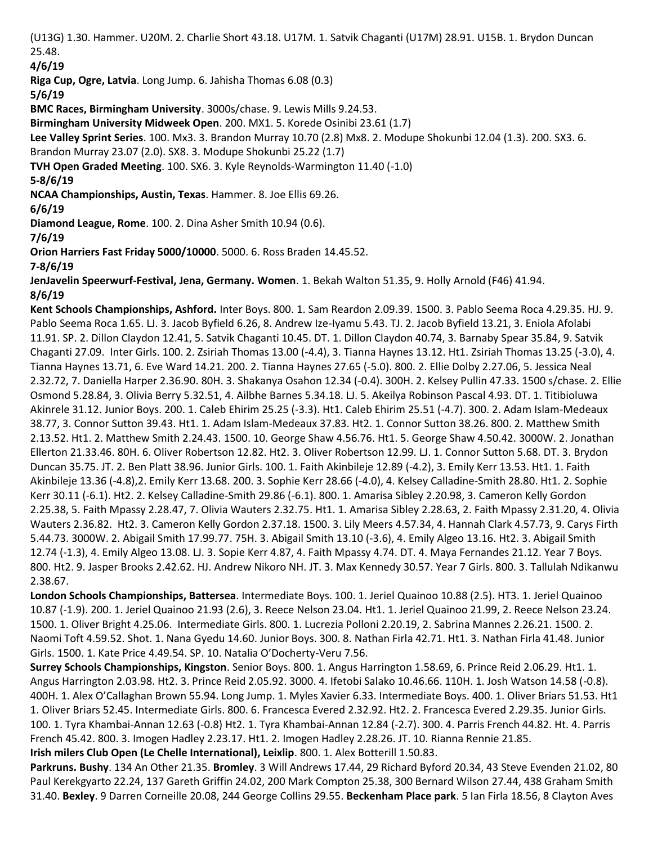(U13G) 1.30. Hammer. U20M. 2. Charlie Short 43.18. U17M. 1. Satvik Chaganti (U17M) 28.91. U15B. 1. Brydon Duncan 25.48.

**4/6/19**

**Riga Cup, Ogre, Latvia**. Long Jump. 6. Jahisha Thomas 6.08 (0.3)

**5/6/19**

**BMC Races, Birmingham University**. 3000s/chase. 9. Lewis Mills 9.24.53.

**Birmingham University Midweek Open**. 200. MX1. 5. Korede Osinibi 23.61 (1.7)

**Lee Valley Sprint Series**. 100. Mx3. 3. Brandon Murray 10.70 (2.8) Mx8. 2. Modupe Shokunbi 12.04 (1.3). 200. SX3. 6.

Brandon Murray 23.07 (2.0). SX8. 3. Modupe Shokunbi 25.22 (1.7)

**TVH Open Graded Meeting**. 100. SX6. 3. Kyle Reynolds-Warmington 11.40 (-1.0)

**5-8/6/19**

**NCAA Championships, Austin, Texas**. Hammer. 8. Joe Ellis 69.26.

**6/6/19**

**Diamond League, Rome**. 100. 2. Dina Asher Smith 10.94 (0.6).

**7/6/19**

**Orion Harriers Fast Friday 5000/10000**. 5000. 6. Ross Braden 14.45.52.

**7-8/6/19**

**JenJavelin Speerwurf-Festival, Jena, Germany. Women**. 1. Bekah Walton 51.35, 9. Holly Arnold (F46) 41.94. **8/6/19**

**Kent Schools Championships, Ashford.** Inter Boys. 800. 1. Sam Reardon 2.09.39. 1500. 3. Pablo Seema Roca 4.29.35. HJ. 9. Pablo Seema Roca 1.65. LJ. 3. Jacob Byfield 6.26, 8. Andrew Ize-Iyamu 5.43. TJ. 2. Jacob Byfield 13.21, 3. Eniola Afolabi 11.91. SP. 2. Dillon Claydon 12.41, 5. Satvik Chaganti 10.45. DT. 1. Dillon Claydon 40.74, 3. Barnaby Spear 35.84, 9. Satvik Chaganti 27.09. Inter Girls. 100. 2. Zsiriah Thomas 13.00 (-4.4), 3. Tianna Haynes 13.12. Ht1. Zsiriah Thomas 13.25 (-3.0), 4. Tianna Haynes 13.71, 6. Eve Ward 14.21. 200. 2. Tianna Haynes 27.65 (-5.0). 800. 2. Ellie Dolby 2.27.06, 5. Jessica Neal 2.32.72, 7. Daniella Harper 2.36.90. 80H. 3. Shakanya Osahon 12.34 (-0.4). 300H. 2. Kelsey Pullin 47.33. 1500 s/chase. 2. Ellie Osmond 5.28.84, 3. Olivia Berry 5.32.51, 4. Ailbhe Barnes 5.34.18. LJ. 5. Akeilya Robinson Pascal 4.93. DT. 1. Titibioluwa Akinrele 31.12. Junior Boys. 200. 1. Caleb Ehirim 25.25 (-3.3). Ht1. Caleb Ehirim 25.51 (-4.7). 300. 2. Adam Islam-Medeaux 38.77, 3. Connor Sutton 39.43. Ht1. 1. Adam Islam-Medeaux 37.83. Ht2. 1. Connor Sutton 38.26. 800. 2. Matthew Smith 2.13.52. Ht1. 2. Matthew Smith 2.24.43. 1500. 10. George Shaw 4.56.76. Ht1. 5. George Shaw 4.50.42. 3000W. 2. Jonathan Ellerton 21.33.46. 80H. 6. Oliver Robertson 12.82. Ht2. 3. Oliver Robertson 12.99. LJ. 1. Connor Sutton 5.68. DT. 3. Brydon Duncan 35.75. JT. 2. Ben Platt 38.96. Junior Girls. 100. 1. Faith Akinbileje 12.89 (-4.2), 3. Emily Kerr 13.53. Ht1. 1. Faith Akinbileje 13.36 (-4.8),2. Emily Kerr 13.68. 200. 3. Sophie Kerr 28.66 (-4.0), 4. Kelsey Calladine-Smith 28.80. Ht1. 2. Sophie Kerr 30.11 (-6.1). Ht2. 2. Kelsey Calladine-Smith 29.86 (-6.1). 800. 1. Amarisa Sibley 2.20.98, 3. Cameron Kelly Gordon 2.25.38, 5. Faith Mpassy 2.28.47, 7. Olivia Wauters 2.32.75. Ht1. 1. Amarisa Sibley 2.28.63, 2. Faith Mpassy 2.31.20, 4. Olivia Wauters 2.36.82. Ht2. 3. Cameron Kelly Gordon 2.37.18. 1500. 3. Lily Meers 4.57.34, 4. Hannah Clark 4.57.73, 9. Carys Firth 5.44.73. 3000W. 2. Abigail Smith 17.99.77. 75H. 3. Abigail Smith 13.10 (-3.6), 4. Emily Algeo 13.16. Ht2. 3. Abigail Smith 12.74 (-1.3), 4. Emily Algeo 13.08. LJ. 3. Sopie Kerr 4.87, 4. Faith Mpassy 4.74. DT. 4. Maya Fernandes 21.12. Year 7 Boys. 800. Ht2. 9. Jasper Brooks 2.42.62. HJ. Andrew Nikoro NH. JT. 3. Max Kennedy 30.57. Year 7 Girls. 800. 3. Tallulah Ndikanwu 2.38.67.

**London Schools Championships, Battersea**. Intermediate Boys. 100. 1. Jeriel Quainoo 10.88 (2.5). HT3. 1. Jeriel Quainoo 10.87 (-1.9). 200. 1. Jeriel Quainoo 21.93 (2.6), 3. Reece Nelson 23.04. Ht1. 1. Jeriel Quainoo 21.99, 2. Reece Nelson 23.24. 1500. 1. Oliver Bright 4.25.06. Intermediate Girls. 800. 1. Lucrezia Polloni 2.20.19, 2. Sabrina Mannes 2.26.21. 1500. 2. Naomi Toft 4.59.52. Shot. 1. Nana Gyedu 14.60. Junior Boys. 300. 8. Nathan Firla 42.71. Ht1. 3. Nathan Firla 41.48. Junior Girls. 1500. 1. Kate Price 4.49.54. SP. 10. Natalia O'Docherty-Veru 7.56.

**Surrey Schools Championships, Kingston**. Senior Boys. 800. 1. Angus Harrington 1.58.69, 6. Prince Reid 2.06.29. Ht1. 1. Angus Harrington 2.03.98. Ht2. 3. Prince Reid 2.05.92. 3000. 4. Ifetobi Salako 10.46.66. 110H. 1. Josh Watson 14.58 (-0.8). 400H. 1. Alex O'Callaghan Brown 55.94. Long Jump. 1. Myles Xavier 6.33. Intermediate Boys. 400. 1. Oliver Briars 51.53. Ht1 1. Oliver Briars 52.45. Intermediate Girls. 800. 6. Francesca Evered 2.32.92. Ht2. 2. Francesca Evered 2.29.35. Junior Girls. 100. 1. Tyra Khambai-Annan 12.63 (-0.8) Ht2. 1. Tyra Khambai-Annan 12.84 (-2.7). 300. 4. Parris French 44.82. Ht. 4. Parris French 45.42. 800. 3. Imogen Hadley 2.23.17. Ht1. 2. Imogen Hadley 2.28.26. JT. 10. Rianna Rennie 21.85. **Irish milers Club Open (Le Chelle International), Leixlip**. 800. 1. Alex Botterill 1.50.83.

**Parkruns. Bushy**. 134 An Other 21.35. **Bromley**. 3 Will Andrews 17.44, 29 Richard Byford 20.34, 43 Steve Evenden 21.02, 80 Paul Kerekgyarto 22.24, 137 Gareth Griffin 24.02, 200 Mark Compton 25.38, 300 Bernard Wilson 27.44, 438 Graham Smith 31.40. **Bexley**. 9 Darren Corneille 20.08, 244 George Collins 29.55. **Beckenham Place park**. 5 Ian Firla 18.56, 8 Clayton Aves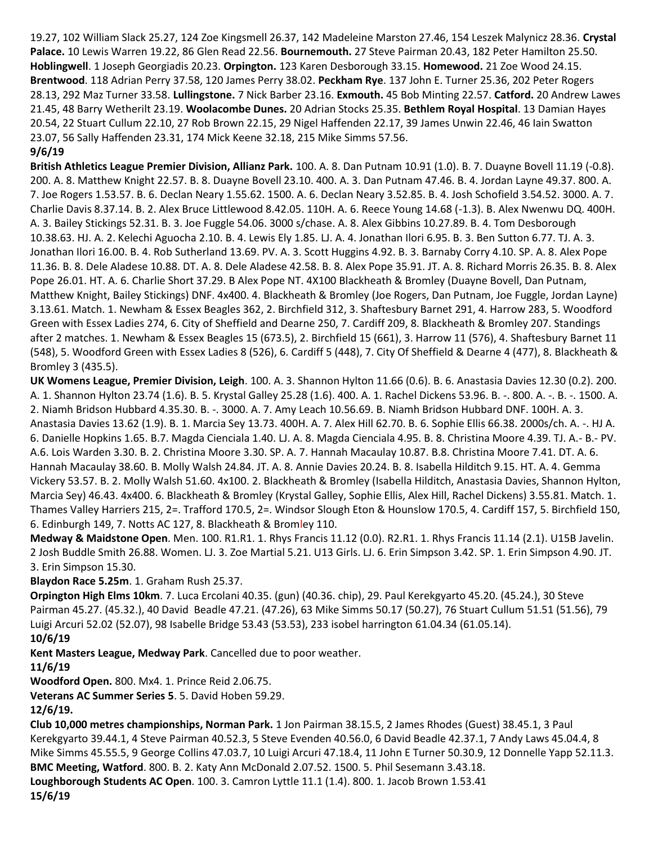19.27, 102 William Slack 25.27, 124 Zoe Kingsmell 26.37, 142 Madeleine Marston 27.46, 154 Leszek Malynicz 28.36. **Crystal Palace.** 10 Lewis Warren 19.22, 86 Glen Read 22.56. **Bournemouth.** 27 Steve Pairman 20.43, 182 Peter Hamilton 25.50. **Hoblingwell**. 1 Joseph Georgiadis 20.23. **Orpington.** 123 Karen Desborough 33.15. **Homewood.** 21 Zoe Wood 24.15. **Brentwood**. 118 Adrian Perry 37.58, 120 James Perry 38.02. **Peckham Rye**. 137 John E. Turner 25.36, 202 Peter Rogers 28.13, 292 Maz Turner 33.58. **Lullingstone.** 7 Nick Barber 23.16. **Exmouth.** 45 Bob Minting 22.57. **Catford.** 20 Andrew Lawes 21.45, 48 Barry Wetherilt 23.19. **Woolacombe Dunes.** 20 Adrian Stocks 25.35. **Bethlem Royal Hospital**. 13 Damian Hayes 20.54, 22 Stuart Cullum 22.10, 27 Rob Brown 22.15, 29 Nigel Haffenden 22.17, 39 James Unwin 22.46, 46 Iain Swatton 23.07, 56 Sally Haffenden 23.31, 174 Mick Keene 32.18, 215 Mike Simms 57.56.

#### **9/6/19**

**British Athletics League Premier Division, Allianz Park.** 100. A. 8. Dan Putnam 10.91 (1.0). B. 7. Duayne Bovell 11.19 (-0.8). 200. A. 8. Matthew Knight 22.57. B. 8. Duayne Bovell 23.10. 400. A. 3. Dan Putnam 47.46. B. 4. Jordan Layne 49.37. 800. A. 7. Joe Rogers 1.53.57. B. 6. Declan Neary 1.55.62. 1500. A. 6. Declan Neary 3.52.85. B. 4. Josh Schofield 3.54.52. 3000. A. 7. Charlie Davis 8.37.14. B. 2. Alex Bruce Littlewood 8.42.05. 110H. A. 6. Reece Young 14.68 (-1.3). B. Alex Nwenwu DQ. 400H. A. 3. Bailey Stickings 52.31. B. 3. Joe Fuggle 54.06. 3000 s/chase. A. 8. Alex Gibbins 10.27.89. B. 4. Tom Desborough 10.38.63. HJ. A. 2. Kelechi Aguocha 2.10. B. 4. Lewis Ely 1.85. LJ. A. 4. Jonathan Ilori 6.95. B. 3. Ben Sutton 6.77. TJ. A. 3. Jonathan Ilori 16.00. B. 4. Rob Sutherland 13.69. PV. A. 3. Scott Huggins 4.92. B. 3. Barnaby Corry 4.10. SP. A. 8. Alex Pope 11.36. B. 8. Dele Aladese 10.88. DT. A. 8. Dele Aladese 42.58. B. 8. Alex Pope 35.91. JT. A. 8. Richard Morris 26.35. B. 8. Alex Pope 26.01. HT. A. 6. Charlie Short 37.29. B Alex Pope NT. 4X100 Blackheath & Bromley (Duayne Bovell, Dan Putnam, Matthew Knight, Bailey Stickings) DNF. 4x400. 4. Blackheath & Bromley (Joe Rogers, Dan Putnam, Joe Fuggle, Jordan Layne) 3.13.61. Match. 1. Newham & Essex Beagles 362, 2. Birchfield 312, 3. Shaftesbury Barnet 291, 4. Harrow 283, 5. Woodford Green with Essex Ladies 274, 6. City of Sheffield and Dearne 250, 7. Cardiff 209, 8. Blackheath & Bromley 207. Standings after 2 matches. 1. Newham & Essex Beagles 15 (673.5), 2. Birchfield 15 (661), 3. Harrow 11 (576), 4. Shaftesbury Barnet 11 (548), 5. Woodford Green with Essex Ladies 8 (526), 6. Cardiff 5 (448), 7. City Of Sheffield & Dearne 4 (477), 8. Blackheath & Bromley 3 (435.5).

**UK Womens League, Premier Division, Leigh**. 100. A. 3. Shannon Hylton 11.66 (0.6). B. 6. Anastasia Davies 12.30 (0.2). 200. A. 1. Shannon Hylton 23.74 (1.6). B. 5. Krystal Galley 25.28 (1.6). 400. A. 1. Rachel Dickens 53.96. B. -. 800. A. -. B. -. 1500. A. 2. Niamh Bridson Hubbard 4.35.30. B. -. 3000. A. 7. Amy Leach 10.56.69. B. Niamh Bridson Hubbard DNF. 100H. A. 3. Anastasia Davies 13.62 (1.9). B. 1. Marcia Sey 13.73. 400H. A. 7. Alex Hill 62.70. B. 6. Sophie Ellis 66.38. 2000s/ch. A. -. HJ A. 6. Danielle Hopkins 1.65. B.7. Magda Cienciala 1.40. LJ. A. 8. Magda Cienciala 4.95. B. 8. Christina Moore 4.39. TJ. A.- B.- PV. A.6. Lois Warden 3.30. B. 2. Christina Moore 3.30. SP. A. 7. Hannah Macaulay 10.87. B.8. Christina Moore 7.41. DT. A. 6. Hannah Macaulay 38.60. B. Molly Walsh 24.84. JT. A. 8. Annie Davies 20.24. B. 8. Isabella Hilditch 9.15. HT. A. 4. Gemma Vickery 53.57. B. 2. Molly Walsh 51.60. 4x100. 2. Blackheath & Bromley (Isabella Hilditch, Anastasia Davies, Shannon Hylton, Marcia Sey) 46.43. 4x400. 6. Blackheath & Bromley (Krystal Galley, Sophie Ellis, Alex Hill, Rachel Dickens) 3.55.81. Match. 1. Thames Valley Harriers 215, 2=. Trafford 170.5, 2=. Windsor Slough Eton & Hounslow 170.5, 4. Cardiff 157, 5. Birchfield 150, 6. Edinburgh 149, 7. Notts AC 127, 8. Blackheath & Bromley 110.

**Medway & Maidstone Open**. Men. 100. R1.R1. 1. Rhys Francis 11.12 (0.0). R2.R1. 1. Rhys Francis 11.14 (2.1). U15B Javelin. 2 Josh Buddle Smith 26.88. Women. LJ. 3. Zoe Martial 5.21. U13 Girls. LJ. 6. Erin Simpson 3.42. SP. 1. Erin Simpson 4.90. JT. 3. Erin Simpson 15.30.

**Blaydon Race 5.25m**. 1. Graham Rush 25.37.

**Orpington High Elms 10km**. 7. Luca Ercolani 40.35. (gun) (40.36. chip), 29. Paul Kerekgyarto 45.20. (45.24.), 30 Steve Pairman 45.27. (45.32.), 40 David Beadle 47.21. (47.26), 63 Mike Simms 50.17 (50.27), 76 Stuart Cullum 51.51 (51.56), 79 Luigi Arcuri 52.02 (52.07), 98 Isabelle Bridge 53.43 (53.53), 233 isobel harrington 61.04.34 (61.05.14).

## **10/6/19**

**Kent Masters League, Medway Park**. Cancelled due to poor weather.

#### **11/6/19**

**Woodford Open.** 800. Mx4. 1. Prince Reid 2.06.75.

**Veterans AC Summer Series 5**. 5. David Hoben 59.29.

## **12/6/19.**

**Club 10,000 metres championships, Norman Park.** 1 Jon Pairman 38.15.5, 2 James Rhodes (Guest) 38.45.1, 3 Paul Kerekgyarto 39.44.1, 4 Steve Pairman 40.52.3, 5 Steve Evenden 40.56.0, 6 David Beadle 42.37.1, 7 Andy Laws 45.04.4, 8 Mike Simms 45.55.5, 9 George Collins 47.03.7, 10 Luigi Arcuri 47.18.4, 11 John E Turner 50.30.9, 12 Donnelle Yapp 52.11.3. **BMC Meeting, Watford**. 800. B. 2. Katy Ann McDonald 2.07.52. 1500. 5. Phil Sesemann 3.43.18. **Loughborough Students AC Open**. 100. 3. Camron Lyttle 11.1 (1.4). 800. 1. Jacob Brown 1.53.41 **15/6/19**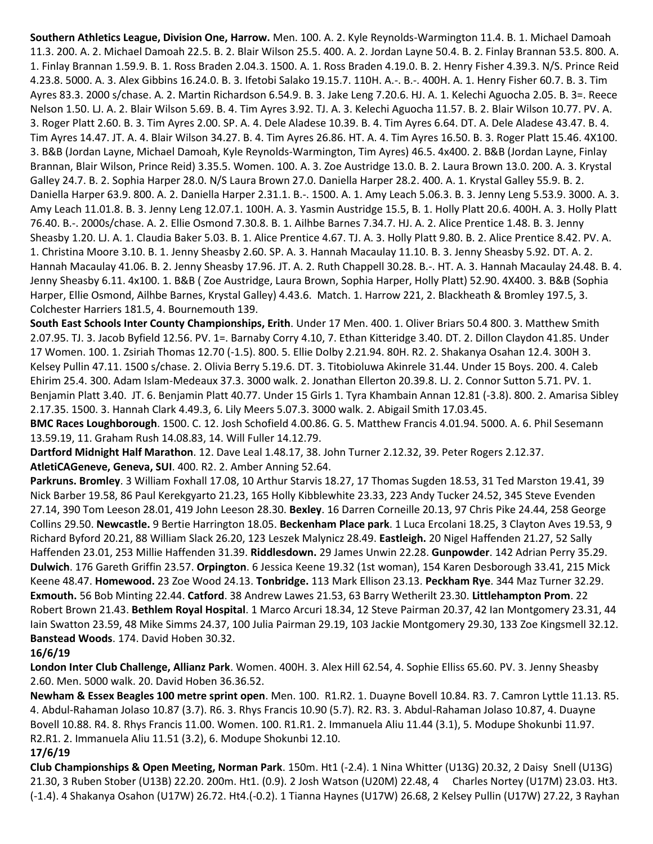**Southern Athletics League, Division One, Harrow.** Men. 100. A. 2. Kyle Reynolds-Warmington 11.4. B. 1. Michael Damoah 11.3. 200. A. 2. Michael Damoah 22.5. B. 2. Blair Wilson 25.5. 400. A. 2. Jordan Layne 50.4. B. 2. Finlay Brannan 53.5. 800. A. 1. Finlay Brannan 1.59.9. B. 1. Ross Braden 2.04.3. 1500. A. 1. Ross Braden 4.19.0. B. 2. Henry Fisher 4.39.3. N/S. Prince Reid 4.23.8. 5000. A. 3. Alex Gibbins 16.24.0. B. 3. Ifetobi Salako 19.15.7. 110H. A.-. B.-. 400H. A. 1. Henry Fisher 60.7. B. 3. Tim Ayres 83.3. 2000 s/chase. A. 2. Martin Richardson 6.54.9. B. 3. Jake Leng 7.20.6. HJ. A. 1. Kelechi Aguocha 2.05. B. 3=. Reece Nelson 1.50. LJ. A. 2. Blair Wilson 5.69. B. 4. Tim Ayres 3.92. TJ. A. 3. Kelechi Aguocha 11.57. B. 2. Blair Wilson 10.77. PV. A. 3. Roger Platt 2.60. B. 3. Tim Ayres 2.00. SP. A. 4. Dele Aladese 10.39. B. 4. Tim Ayres 6.64. DT. A. Dele Aladese 43.47. B. 4. Tim Ayres 14.47. JT. A. 4. Blair Wilson 34.27. B. 4. Tim Ayres 26.86. HT. A. 4. Tim Ayres 16.50. B. 3. Roger Platt 15.46. 4X100. 3. B&B (Jordan Layne, Michael Damoah, Kyle Reynolds-Warmington, Tim Ayres) 46.5. 4x400. 2. B&B (Jordan Layne, Finlay Brannan, Blair Wilson, Prince Reid) 3.35.5. Women. 100. A. 3. Zoe Austridge 13.0. B. 2. Laura Brown 13.0. 200. A. 3. Krystal Galley 24.7. B. 2. Sophia Harper 28.0. N/S Laura Brown 27.0. Daniella Harper 28.2. 400. A. 1. Krystal Galley 55.9. B. 2. Daniella Harper 63.9. 800. A. 2. Daniella Harper 2.31.1. B.-. 1500. A. 1. Amy Leach 5.06.3. B. 3. Jenny Leng 5.53.9. 3000. A. 3. Amy Leach 11.01.8. B. 3. Jenny Leng 12.07.1. 100H. A. 3. Yasmin Austridge 15.5, B. 1. Holly Platt 20.6. 400H. A. 3. Holly Platt 76.40. B.-. 2000s/chase. A. 2. Ellie Osmond 7.30.8. B. 1. Ailhbe Barnes 7.34.7. HJ. A. 2. Alice Prentice 1.48. B. 3. Jenny Sheasby 1.20. LJ. A. 1. Claudia Baker 5.03. B. 1. Alice Prentice 4.67. TJ. A. 3. Holly Platt 9.80. B. 2. Alice Prentice 8.42. PV. A. 1. Christina Moore 3.10. B. 1. Jenny Sheasby 2.60. SP. A. 3. Hannah Macaulay 11.10. B. 3. Jenny Sheasby 5.92. DT. A. 2. Hannah Macaulay 41.06. B. 2. Jenny Sheasby 17.96. JT. A. 2. Ruth Chappell 30.28. B.-. HT. A. 3. Hannah Macaulay 24.48. B. 4. Jenny Sheasby 6.11. 4x100. 1. B&B ( Zoe Austridge, Laura Brown, Sophia Harper, Holly Platt) 52.90. 4X400. 3. B&B (Sophia Harper, Ellie Osmond, Ailhbe Barnes, Krystal Galley) 4.43.6. Match. 1. Harrow 221, 2. Blackheath & Bromley 197.5, 3. Colchester Harriers 181.5, 4. Bournemouth 139.

**South East Schools Inter County Championships, Erith**. Under 17 Men. 400. 1. Oliver Briars 50.4 800. 3. Matthew Smith 2.07.95. TJ. 3. Jacob Byfield 12.56. PV. 1=. Barnaby Corry 4.10, 7. Ethan Kitteridge 3.40. DT. 2. Dillon Claydon 41.85. Under 17 Women. 100. 1. Zsiriah Thomas 12.70 (-1.5). 800. 5. Ellie Dolby 2.21.94. 80H. R2. 2. Shakanya Osahan 12.4. 300H 3. Kelsey Pullin 47.11. 1500 s/chase. 2. Olivia Berry 5.19.6. DT. 3. Titobioluwa Akinrele 31.44. Under 15 Boys. 200. 4. Caleb Ehirim 25.4. 300. Adam Islam-Medeaux 37.3. 3000 walk. 2. Jonathan Ellerton 20.39.8. LJ. 2. Connor Sutton 5.71. PV. 1. Benjamin Platt 3.40. JT. 6. Benjamin Platt 40.77. Under 15 Girls 1. Tyra Khambain Annan 12.81 (-3.8). 800. 2. Amarisa Sibley 2.17.35. 1500. 3. Hannah Clark 4.49.3, 6. Lily Meers 5.07.3. 3000 walk. 2. Abigail Smith 17.03.45.

**BMC Races Loughborough**. 1500. C. 12. Josh Schofield 4.00.86. G. 5. Matthew Francis 4.01.94. 5000. A. 6. Phil Sesemann 13.59.19, 11. Graham Rush 14.08.83, 14. Will Fuller 14.12.79.

**Dartford Midnight Half Marathon**. 12. Dave Leal 1.48.17, 38. John Turner 2.12.32, 39. Peter Rogers 2.12.37. **AtletiCAGeneve, Geneva, SUI**. 400. R2. 2. Amber Anning 52.64.

**Parkruns. Bromley**. 3 William Foxhall 17.08, 10 Arthur Starvis 18.27, 17 Thomas Sugden 18.53, 31 Ted Marston 19.41, 39 Nick Barber 19.58, 86 Paul Kerekgyarto 21.23, 165 Holly Kibblewhite 23.33, 223 Andy Tucker 24.52, 345 Steve Evenden 27.14, 390 Tom Leeson 28.01, 419 John Leeson 28.30. **Bexley**. 16 Darren Corneille 20.13, 97 Chris Pike 24.44, 258 George Collins 29.50. **Newcastle.** 9 Bertie Harrington 18.05. **Beckenham Place park**. 1 Luca Ercolani 18.25, 3 Clayton Aves 19.53, 9 Richard Byford 20.21, 88 William Slack 26.20, 123 Leszek Malynicz 28.49. **Eastleigh.** 20 Nigel Haffenden 21.27, 52 Sally Haffenden 23.01, 253 Millie Haffenden 31.39. **Riddlesdown.** 29 James Unwin 22.28. **Gunpowder**. 142 Adrian Perry 35.29. **Dulwich**. 176 Gareth Griffin 23.57. **Orpington**. 6 Jessica Keene 19.32 (1st woman), 154 Karen Desborough 33.41, 215 Mick Keene 48.47. **Homewood.** 23 Zoe Wood 24.13. **Tonbridge.** 113 Mark Ellison 23.13. **Peckham Rye**. 344 Maz Turner 32.29. **Exmouth.** 56 Bob Minting 22.44. **Catford**. 38 Andrew Lawes 21.53, 63 Barry Wetherilt 23.30. **Littlehampton Prom**. 22 Robert Brown 21.43. **Bethlem Royal Hospital**. 1 Marco Arcuri 18.34, 12 Steve Pairman 20.37, 42 Ian Montgomery 23.31, 44 Iain Swatton 23.59, 48 Mike Simms 24.37, 100 Julia Pairman 29.19, 103 Jackie Montgomery 29.30, 133 Zoe Kingsmell 32.12. **Banstead Woods**. 174. David Hoben 30.32.

#### **16/6/19**

**London Inter Club Challenge, Allianz Park**. Women. 400H. 3. Alex Hill 62.54, 4. Sophie Elliss 65.60. PV. 3. Jenny Sheasby 2.60. Men. 5000 walk. 20. David Hoben 36.36.52.

**Newham & Essex Beagles 100 metre sprint open**. Men. 100. R1.R2. 1. Duayne Bovell 10.84. R3. 7. Camron Lyttle 11.13. R5. 4. Abdul-Rahaman Jolaso 10.87 (3.7). R6. 3. Rhys Francis 10.90 (5.7). R2. R3. 3. Abdul-Rahaman Jolaso 10.87, 4. Duayne Bovell 10.88. R4. 8. Rhys Francis 11.00. Women. 100. R1.R1. 2. Immanuela Aliu 11.44 (3.1), 5. Modupe Shokunbi 11.97. R2.R1. 2. Immanuela Aliu 11.51 (3.2), 6. Modupe Shokunbi 12.10.

#### **17/6/19**

**Club Championships & Open Meeting, Norman Park**. 150m. Ht1 (-2.4). 1 Nina Whitter (U13G) 20.32, 2 Daisy Snell (U13G) 21.30, 3 Ruben Stober (U13B) 22.20. 200m. Ht1. (0.9). 2 Josh Watson (U20M) 22.48, 4 Charles Nortey (U17M) 23.03. Ht3. (-1.4). 4 Shakanya Osahon (U17W) 26.72. Ht4.(-0.2). 1 Tianna Haynes (U17W) 26.68, 2 Kelsey Pullin (U17W) 27.22, 3 Rayhan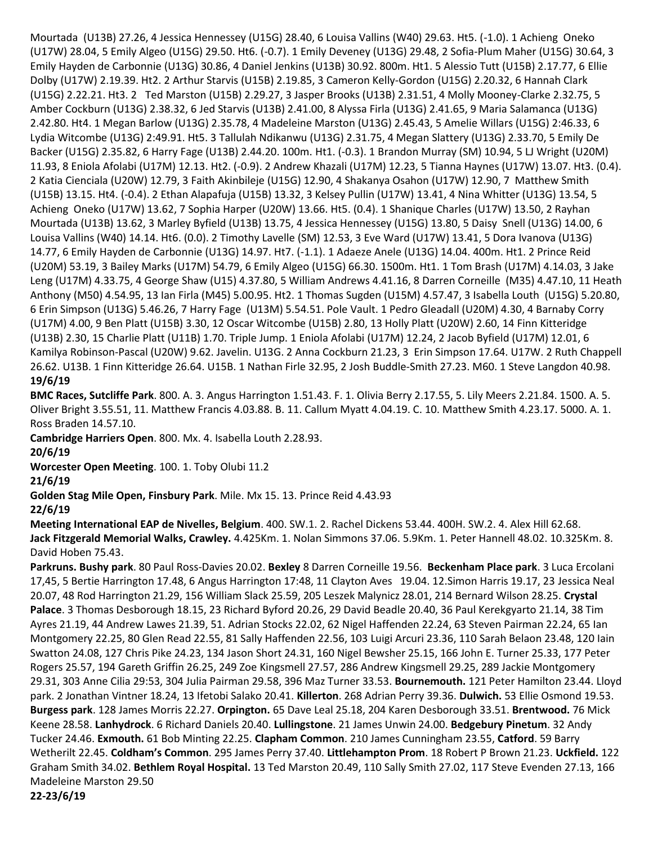Mourtada (U13B) 27.26, 4 Jessica Hennessey (U15G) 28.40, 6 Louisa Vallins (W40) 29.63. Ht5. (-1.0). 1 Achieng Oneko (U17W) 28.04, 5 Emily Algeo (U15G) 29.50. Ht6. (-0.7). 1 Emily Deveney (U13G) 29.48, 2 Sofia-Plum Maher (U15G) 30.64, 3 Emily Hayden de Carbonnie (U13G) 30.86, 4 Daniel Jenkins (U13B) 30.92. 800m. Ht1. 5 Alessio Tutt (U15B) 2.17.77, 6 Ellie Dolby (U17W) 2.19.39. Ht2. 2 Arthur Starvis (U15B) 2.19.85, 3 Cameron Kelly-Gordon (U15G) 2.20.32, 6 Hannah Clark (U15G) 2.22.21. Ht3. 2 Ted Marston (U15B) 2.29.27, 3 Jasper Brooks (U13B) 2.31.51, 4 Molly Mooney-Clarke 2.32.75, 5 Amber Cockburn (U13G) 2.38.32, 6 Jed Starvis (U13B) 2.41.00, 8 Alyssa Firla (U13G) 2.41.65, 9 Maria Salamanca (U13G) 2.42.80. Ht4. 1 Megan Barlow (U13G) 2.35.78, 4 Madeleine Marston (U13G) 2.45.43, 5 Amelie Willars (U15G) 2:46.33, 6 Lydia Witcombe (U13G) 2:49.91. Ht5. 3 Tallulah Ndikanwu (U13G) 2.31.75, 4 Megan Slattery (U13G) 2.33.70, 5 Emily De Backer (U15G) 2.35.82, 6 Harry Fage (U13B) 2.44.20. 100m. Ht1. (-0.3). 1 Brandon Murray (SM) 10.94, 5 LJ Wright (U20M) 11.93, 8 Eniola Afolabi (U17M) 12.13. Ht2. (-0.9). 2 Andrew Khazali (U17M) 12.23, 5 Tianna Haynes (U17W) 13.07. Ht3. (0.4). 2 Katia Cienciala (U20W) 12.79, 3 Faith Akinbileje (U15G) 12.90, 4 Shakanya Osahon (U17W) 12.90, 7 Matthew Smith (U15B) 13.15. Ht4. (-0.4). 2 Ethan Alapafuja (U15B) 13.32, 3 Kelsey Pullin (U17W) 13.41, 4 Nina Whitter (U13G) 13.54, 5 Achieng Oneko (U17W) 13.62, 7 Sophia Harper (U20W) 13.66. Ht5. (0.4). 1 Shanique Charles (U17W) 13.50, 2 Rayhan Mourtada (U13B) 13.62, 3 Marley Byfield (U13B) 13.75, 4 Jessica Hennessey (U15G) 13.80, 5 Daisy Snell (U13G) 14.00, 6 Louisa Vallins (W40) 14.14. Ht6. (0.0). 2 Timothy Lavelle (SM) 12.53, 3 Eve Ward (U17W) 13.41, 5 Dora Ivanova (U13G) 14.77, 6 Emily Hayden de Carbonnie (U13G) 14.97. Ht7. (-1.1). 1 Adaeze Anele (U13G) 14.04. 400m. Ht1. 2 Prince Reid (U20M) 53.19, 3 Bailey Marks (U17M) 54.79, 6 Emily Algeo (U15G) 66.30. 1500m. Ht1. 1 Tom Brash (U17M) 4.14.03, 3 Jake Leng (U17M) 4.33.75, 4 George Shaw (U15) 4.37.80, 5 William Andrews 4.41.16, 8 Darren Corneille (M35) 4.47.10, 11 Heath Anthony (M50) 4.54.95, 13 Ian Firla (M45) 5.00.95. Ht2. 1 Thomas Sugden (U15M) 4.57.47, 3 Isabella Louth (U15G) 5.20.80, 6 Erin Simpson (U13G) 5.46.26, 7 Harry Fage (U13M) 5.54.51. Pole Vault. 1 Pedro Gleadall (U20M) 4.30, 4 Barnaby Corry (U17M) 4.00, 9 Ben Platt (U15B) 3.30, 12 Oscar Witcombe (U15B) 2.80, 13 Holly Platt (U20W) 2.60, 14 Finn Kitteridge (U13B) 2.30, 15 Charlie Platt (U11B) 1.70. Triple Jump. 1 Eniola Afolabi (U17M) 12.24, 2 Jacob Byfield (U17M) 12.01, 6 Kamilya Robinson-Pascal (U20W) 9.62. Javelin. U13G. 2 Anna Cockburn 21.23, 3 Erin Simpson 17.64. U17W. 2 Ruth Chappell 26.62. U13B. 1 Finn Kitteridge 26.64. U15B. 1 Nathan Firle 32.95, 2 Josh Buddle-Smith 27.23. M60. 1 Steve Langdon 40.98. **19/6/19**

**BMC Races, Sutcliffe Park**. 800. A. 3. Angus Harrington 1.51.43. F. 1. Olivia Berry 2.17.55, 5. Lily Meers 2.21.84. 1500. A. 5. Oliver Bright 3.55.51, 11. Matthew Francis 4.03.88. B. 11. Callum Myatt 4.04.19. C. 10. Matthew Smith 4.23.17. 5000. A. 1. Ross Braden 14.57.10.

**Cambridge Harriers Open**. 800. Mx. 4. Isabella Louth 2.28.93.

**20/6/19**

**Worcester Open Meeting**. 100. 1. Toby Olubi 11.2

**21/6/19**

**Golden Stag Mile Open, Finsbury Park**. Mile. Mx 15. 13. Prince Reid 4.43.93

**22/6/19**

**Meeting International EAP de Nivelles, Belgium**. 400. SW.1. 2. Rachel Dickens 53.44. 400H. SW.2. 4. Alex Hill 62.68. **Jack Fitzgerald Memorial Walks, Crawley.** 4.425Km. 1. Nolan Simmons 37.06. 5.9Km. 1. Peter Hannell 48.02. 10.325Km. 8. David Hoben 75.43.

**Parkruns. Bushy park**. 80 Paul Ross-Davies 20.02. **Bexley** 8 Darren Corneille 19.56. **Beckenham Place park**. 3 Luca Ercolani 17,45, 5 Bertie Harrington 17.48, 6 Angus Harrington 17:48, 11 Clayton Aves 19.04. 12.Simon Harris 19.17, 23 Jessica Neal 20.07, 48 Rod Harrington 21.29, 156 William Slack 25.59, 205 Leszek Malynicz 28.01, 214 Bernard Wilson 28.25. **Crystal Palace**. 3 Thomas Desborough 18.15, 23 Richard Byford 20.26, 29 David Beadle 20.40, 36 Paul Kerekgyarto 21.14, 38 Tim Ayres 21.19, 44 Andrew Lawes 21.39, 51. Adrian Stocks 22.02, 62 Nigel Haffenden 22.24, 63 Steven Pairman 22.24, 65 Ian Montgomery 22.25, 80 Glen Read 22.55, 81 Sally Haffenden 22.56, 103 Luigi Arcuri 23.36, 110 Sarah Belaon 23.48, 120 Iain Swatton 24.08, 127 Chris Pike 24.23, 134 Jason Short 24.31, 160 Nigel Bewsher 25.15, 166 John E. Turner 25.33, 177 Peter Rogers 25.57, 194 Gareth Griffin 26.25, 249 Zoe Kingsmell 27.57, 286 Andrew Kingsmell 29.25, 289 Jackie Montgomery 29.31, 303 Anne Cilia 29:53, 304 Julia Pairman 29.58, 396 Maz Turner 33.53. **Bournemouth.** 121 Peter Hamilton 23.44. Lloyd park. 2 Jonathan Vintner 18.24, 13 Ifetobi Salako 20.41. **Killerton**. 268 Adrian Perry 39.36. **Dulwich.** 53 Ellie Osmond 19.53. **Burgess park**. 128 James Morris 22.27. **Orpington.** 65 Dave Leal 25.18, 204 Karen Desborough 33.51. **Brentwood.** 76 Mick Keene 28.58. **Lanhydrock**. 6 Richard Daniels 20.40. **Lullingstone**. 21 James Unwin 24.00. **Bedgebury Pinetum**. 32 Andy Tucker 24.46. **Exmouth.** 61 Bob Minting 22.25. **Clapham Common**. 210 James Cunningham 23.55, **Catford**. 59 Barry Wetherilt 22.45. **Coldham's Common**. 295 James Perry 37.40. **Littlehampton Prom**. 18 Robert P Brown 21.23. **Uckfield.** 122 Graham Smith 34.02. **Bethlem Royal Hospital.** 13 Ted Marston 20.49, 110 Sally Smith 27.02, 117 Steve Evenden 27.13, 166 Madeleine Marston 29.50 **22-23/6/19**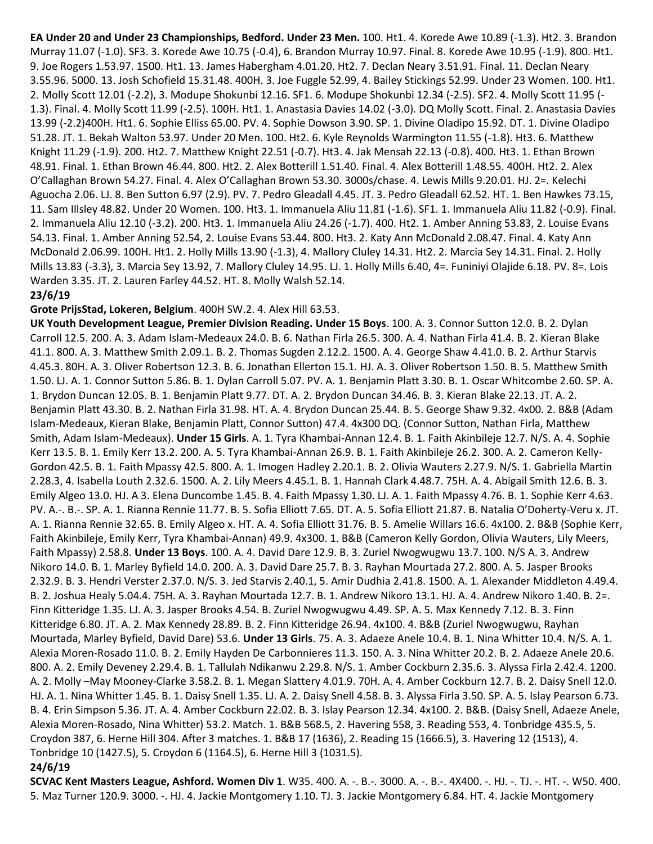**EA Under 20 and Under 23 Championships, Bedford. Under 23 Men.** 100. Ht1. 4. Korede Awe 10.89 (-1.3). Ht2. 3. Brandon Murray 11.07 (-1.0). SF3. 3. Korede Awe 10.75 (-0.4), 6. Brandon Murray 10.97. Final. 8. Korede Awe 10.95 (-1.9). 800. Ht1. 9. Joe Rogers 1.53.97. 1500. Ht1. 13. James Habergham 4.01.20. Ht2. 7. Declan Neary 3.51.91. Final. 11. Declan Neary 3.55.96. 5000. 13. Josh Schofield 15.31.48. 400H. 3. Joe Fuggle 52.99, 4. Bailey Stickings 52.99. Under 23 Women. 100. Ht1. 2. Molly Scott 12.01 (-2.2), 3. Modupe Shokunbi 12.16. SF1. 6. Modupe Shokunbi 12.34 (-2.5). SF2. 4. Molly Scott 11.95 (- 1.3). Final. 4. Molly Scott 11.99 (-2.5). 100H. Ht1. 1. Anastasia Davies 14.02 (-3.0). DQ Molly Scott. Final. 2. Anastasia Davies 13.99 (-2.2)400H. Ht1. 6. Sophie Elliss 65.00. PV. 4. Sophie Dowson 3.90. SP. 1. Divine Oladipo 15.92. DT. 1. Divine Oladipo 51.28. JT. 1. Bekah Walton 53.97. Under 20 Men. 100. Ht2. 6. Kyle Reynolds Warmington 11.55 (-1.8). Ht3. 6. Matthew Knight 11.29 (-1.9). 200. Ht2. 7. Matthew Knight 22.51 (-0.7). Ht3. 4. Jak Mensah 22.13 (-0.8). 400. Ht3. 1. Ethan Brown 48.91. Final. 1. Ethan Brown 46.44. 800. Ht2. 2. Alex Botterill 1.51.40. Final. 4. Alex Botterill 1.48.55. 400H. Ht2. 2. Alex O'Callaghan Brown 54.27. Final. 4. Alex O'Callaghan Brown 53.30. 3000s/chase. 4. Lewis Mills 9.20.01. HJ. 2=. Kelechi Aguocha 2.06. LJ. 8. Ben Sutton 6.97 (2.9). PV. 7. Pedro Gleadall 4.45. JT. 3. Pedro Gleadall 62.52. HT. 1. Ben Hawkes 73.15, 11. Sam Illsley 48.82. Under 20 Women. 100. Ht3. 1. Immanuela Aliu 11.81 (-1.6). SF1. 1. Immanuela Aliu 11.82 (-0.9). Final. 2. Immanuela Aliu 12.10 (-3.2). 200. Ht3. 1. Immanuela Aliu 24.26 (-1.7). 400. Ht2. 1. Amber Anning 53.83, 2. Louise Evans 54.13. Final. 1. Amber Anning 52.54, 2. Louise Evans 53.44. 800. Ht3. 2. Katy Ann McDonald 2.08.47. Final. 4. Katy Ann McDonald 2.06.99. 100H. Ht1. 2. Holly Mills 13.90 (-1.3), 4. Mallory Cluley 14.31. Ht2. 2. Marcia Sey 14.31. Final. 2. Holly Mills 13.83 (-3.3), 3. Marcia Sey 13.92, 7. Mallory Cluley 14.95. LJ. 1. Holly Mills 6.40, 4=. Funiniyi Olajide 6.18. PV. 8=. Lois Warden 3.35. JT. 2. Lauren Farley 44.52. HT. 8. Molly Walsh 52.14.

#### **23/6/19**

#### **Grote PrijsStad, Lokeren, Belgium**. 400H SW.2. 4. Alex Hill 63.53.

**UK Youth Development League, Premier Division Reading. Under 15 Boys**. 100. A. 3. Connor Sutton 12.0. B. 2. Dylan Carroll 12.5. 200. A. 3. Adam Islam-Medeaux 24.0. B. 6. Nathan Firla 26.5. 300. A. 4. Nathan Firla 41.4. B. 2. Kieran Blake 41.1. 800. A. 3. Matthew Smith 2.09.1. B. 2. Thomas Sugden 2.12.2. 1500. A. 4. George Shaw 4.41.0. B. 2. Arthur Starvis 4.45.3. 80H. A. 3. Oliver Robertson 12.3. B. 6. Jonathan Ellerton 15.1. HJ. A. 3. Oliver Robertson 1.50. B. 5. Matthew Smith 1.50. LJ. A. 1. Connor Sutton 5.86. B. 1. Dylan Carroll 5.07. PV. A. 1. Benjamin Platt 3.30. B. 1. Oscar Whitcombe 2.60. SP. A. 1. Brydon Duncan 12.05. B. 1. Benjamin Platt 9.77. DT. A. 2. Brydon Duncan 34.46. B. 3. Kieran Blake 22.13. JT. A. 2. Benjamin Platt 43.30. B. 2. Nathan Firla 31.98. HT. A. 4. Brydon Duncan 25.44. B. 5. George Shaw 9.32. 4x00. 2. B&B (Adam Islam-Medeaux, Kieran Blake, Benjamin Platt, Connor Sutton) 47.4. 4x300 DQ. (Connor Sutton, Nathan Firla, Matthew Smith, Adam Islam-Medeaux). **Under 15 Girls**. A. 1. Tyra Khambai-Annan 12.4. B. 1. Faith Akinbileje 12.7. N/S. A. 4. Sophie Kerr 13.5. B. 1. Emily Kerr 13.2. 200. A. 5. Tyra Khambai-Annan 26.9. B. 1. Faith Akinbileje 26.2. 300. A. 2. Cameron Kelly-Gordon 42.5. B. 1. Faith Mpassy 42.5. 800. A. 1. Imogen Hadley 2.20.1. B. 2. Olivia Wauters 2.27.9. N/S. 1. Gabriella Martin 2.28.3, 4. Isabella Louth 2.32.6. 1500. A. 2. Lily Meers 4.45.1. B. 1. Hannah Clark 4.48.7. 75H. A. 4. Abigail Smith 12.6. B. 3. Emily Algeo 13.0. HJ. A 3. Elena Duncombe 1.45. B. 4. Faith Mpassy 1.30. LJ. A. 1. Faith Mpassy 4.76. B. 1. Sophie Kerr 4.63. PV. A.-. B.-. SP. A. 1. Rianna Rennie 11.77. B. 5. Sofia Elliott 7.65. DT. A. 5. Sofia Elliott 21.87. B. Natalia O'Doherty-Veru x. JT. A. 1. Rianna Rennie 32.65. B. Emily Algeo x. HT. A. 4. Sofia Elliott 31.76. B. 5. Amelie Willars 16.6. 4x100. 2. B&B (Sophie Kerr, Faith Akinbileje, Emily Kerr, Tyra Khambai-Annan) 49.9. 4x300. 1. B&B (Cameron Kelly Gordon, Olivia Wauters, Lily Meers, Faith Mpassy) 2.58.8. **Under 13 Boys**. 100. A. 4. David Dare 12.9. B. 3. Zuriel Nwogwugwu 13.7. 100. N/S A. 3. Andrew Nikoro 14.0. B. 1. Marley Byfield 14.0. 200. A. 3. David Dare 25.7. B. 3. Rayhan Mourtada 27.2. 800. A. 5. Jasper Brooks 2.32.9. B. 3. Hendri Verster 2.37.0. N/S. 3. Jed Starvis 2.40.1, 5. Amir Dudhia 2.41.8. 1500. A. 1. Alexander Middleton 4.49.4. B. 2. Joshua Healy 5.04.4. 75H. A. 3. Rayhan Mourtada 12.7. B. 1. Andrew Nikoro 13.1. HJ. A. 4. Andrew Nikoro 1.40. B. 2=. Finn Kitteridge 1.35. LJ. A. 3. Jasper Brooks 4.54. B. Zuriel Nwogwugwu 4.49. SP. A. 5. Max Kennedy 7.12. B. 3. Finn Kitteridge 6.80. JT. A. 2. Max Kennedy 28.89. B. 2. Finn Kitteridge 26.94. 4x100. 4. B&B (Zuriel Nwogwugwu, Rayhan Mourtada, Marley Byfield, David Dare) 53.6. **Under 13 Girls**. 75. A. 3. Adaeze Anele 10.4. B. 1. Nina Whitter 10.4. N/S. A. 1. Alexia Moren-Rosado 11.0. B. 2. Emily Hayden De Carbonnieres 11.3. 150. A. 3. Nina Whitter 20.2. B. 2. Adaeze Anele 20.6. 800. A. 2. Emily Deveney 2.29.4. B. 1. Tallulah Ndikanwu 2.29.8. N/S. 1. Amber Cockburn 2.35.6. 3. Alyssa Firla 2.42.4. 1200. A. 2. Molly –May Mooney-Clarke 3.58.2. B. 1. Megan Slattery 4.01.9. 70H. A. 4. Amber Cockburn 12.7. B. 2. Daisy Snell 12.0. HJ. A. 1. Nina Whitter 1.45. B. 1. Daisy Snell 1.35. LJ. A. 2. Daisy Snell 4.58. B. 3. Alyssa Firla 3.50. SP. A. 5. Islay Pearson 6.73. B. 4. Erin Simpson 5.36. JT. A. 4. Amber Cockburn 22.02. B. 3. Islay Pearson 12.34. 4x100. 2. B&B. (Daisy Snell, Adaeze Anele, Alexia Moren-Rosado, Nina Whitter) 53.2. Match. 1. B&B 568.5, 2. Havering 558, 3. Reading 553, 4. Tonbridge 435.5, 5. Croydon 387, 6. Herne Hill 304. After 3 matches. 1. B&B 17 (1636), 2. Reading 15 (1666.5), 3. Havering 12 (1513), 4. Tonbridge 10 (1427.5), 5. Croydon 6 (1164.5), 6. Herne Hill 3 (1031.5).

## **24/6/19**

**SCVAC Kent Masters League, Ashford. Women Div 1**. W35. 400. A. -. B.-. 3000. A. -. B.-. 4X400. -. HJ. -. TJ. -. HT. -. W50. 400. 5. Maz Turner 120.9. 3000. -. HJ. 4. Jackie Montgomery 1.10. TJ. 3. Jackie Montgomery 6.84. HT. 4. Jackie Montgomery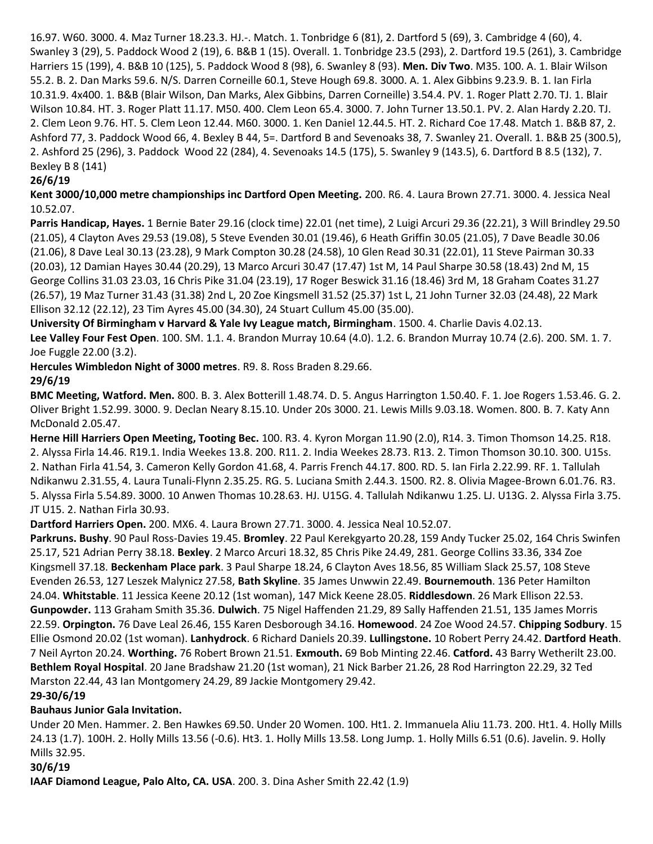16.97. W60. 3000. 4. Maz Turner 18.23.3. HJ.-. Match. 1. Tonbridge 6 (81), 2. Dartford 5 (69), 3. Cambridge 4 (60), 4. Swanley 3 (29), 5. Paddock Wood 2 (19), 6. B&B 1 (15). Overall. 1. Tonbridge 23.5 (293), 2. Dartford 19.5 (261), 3. Cambridge Harriers 15 (199), 4. B&B 10 (125), 5. Paddock Wood 8 (98), 6. Swanley 8 (93). **Men. Div Two**. M35. 100. A. 1. Blair Wilson 55.2. B. 2. Dan Marks 59.6. N/S. Darren Corneille 60.1, Steve Hough 69.8. 3000. A. 1. Alex Gibbins 9.23.9. B. 1. Ian Firla 10.31.9. 4x400. 1. B&B (Blair Wilson, Dan Marks, Alex Gibbins, Darren Corneille) 3.54.4. PV. 1. Roger Platt 2.70. TJ. 1. Blair Wilson 10.84. HT. 3. Roger Platt 11.17. M50. 400. Clem Leon 65.4. 3000. 7. John Turner 13.50.1. PV. 2. Alan Hardy 2.20. TJ. 2. Clem Leon 9.76. HT. 5. Clem Leon 12.44. M60. 3000. 1. Ken Daniel 12.44.5. HT. 2. Richard Coe 17.48. Match 1. B&B 87, 2. Ashford 77, 3. Paddock Wood 66, 4. Bexley B 44, 5=. Dartford B and Sevenoaks 38, 7. Swanley 21. Overall. 1. B&B 25 (300.5), 2. Ashford 25 (296), 3. Paddock Wood 22 (284), 4. Sevenoaks 14.5 (175), 5. Swanley 9 (143.5), 6. Dartford B 8.5 (132), 7. Bexley B 8 (141)

## **26/6/19**

**Kent 3000/10,000 metre championships inc Dartford Open Meeting.** 200. R6. 4. Laura Brown 27.71. 3000. 4. Jessica Neal 10.52.07.

**Parris Handicap, Hayes.** 1 Bernie Bater 29.16 (clock time) 22.01 (net time), 2 Luigi Arcuri 29.36 (22.21), 3 Will Brindley 29.50 (21.05), 4 Clayton Aves 29.53 (19.08), 5 Steve Evenden 30.01 (19.46), 6 Heath Griffin 30.05 (21.05), 7 Dave Beadle 30.06 (21.06), 8 Dave Leal 30.13 (23.28), 9 Mark Compton 30.28 (24.58), 10 Glen Read 30.31 (22.01), 11 Steve Pairman 30.33 (20.03), 12 Damian Hayes 30.44 (20.29), 13 Marco Arcuri 30.47 (17.47) 1st M, 14 Paul Sharpe 30.58 (18.43) 2nd M, 15 George Collins 31.03 23.03, 16 Chris Pike 31.04 (23.19), 17 Roger Beswick 31.16 (18.46) 3rd M, 18 Graham Coates 31.27 (26.57), 19 Maz Turner 31.43 (31.38) 2nd L, 20 Zoe Kingsmell 31.52 (25.37) 1st L, 21 John Turner 32.03 (24.48), 22 Mark Ellison 32.12 (22.12), 23 Tim Ayres 45.00 (34.30), 24 Stuart Cullum 45.00 (35.00).

**University Of Birmingham v Harvard & Yale Ivy League match, Birmingham**. 1500. 4. Charlie Davis 4.02.13. **Lee Valley Four Fest Open**. 100. SM. 1.1. 4. Brandon Murray 10.64 (4.0). 1.2. 6. Brandon Murray 10.74 (2.6). 200. SM. 1. 7. Joe Fuggle 22.00 (3.2).

**Hercules Wimbledon Night of 3000 metres**. R9. 8. Ross Braden 8.29.66.

## **29/6/19**

**BMC Meeting, Watford. Men.** 800. B. 3. Alex Botterill 1.48.74. D. 5. Angus Harrington 1.50.40. F. 1. Joe Rogers 1.53.46. G. 2. Oliver Bright 1.52.99. 3000. 9. Declan Neary 8.15.10. Under 20s 3000. 21. Lewis Mills 9.03.18. Women. 800. B. 7. Katy Ann McDonald 2.05.47.

**Herne Hill Harriers Open Meeting, Tooting Bec.** 100. R3. 4. Kyron Morgan 11.90 (2.0), R14. 3. Timon Thomson 14.25. R18. 2. Alyssa Firla 14.46. R19.1. India Weekes 13.8. 200. R11. 2. India Weekes 28.73. R13. 2. Timon Thomson 30.10. 300. U15s. 2. Nathan Firla 41.54, 3. Cameron Kelly Gordon 41.68, 4. Parris French 44.17. 800. RD. 5. Ian Firla 2.22.99. RF. 1. Tallulah Ndikanwu 2.31.55, 4. Laura Tunali-Flynn 2.35.25. RG. 5. Luciana Smith 2.44.3. 1500. R2. 8. Olivia Magee-Brown 6.01.76. R3. 5. Alyssa Firla 5.54.89. 3000. 10 Anwen Thomas 10.28.63. HJ. U15G. 4. Tallulah Ndikanwu 1.25. LJ. U13G. 2. Alyssa Firla 3.75. JT U15. 2. Nathan Firla 30.93.

**Dartford Harriers Open.** 200. MX6. 4. Laura Brown 27.71. 3000. 4. Jessica Neal 10.52.07.

**Parkruns. Bushy**. 90 Paul Ross-Davies 19.45. **Bromley**. 22 Paul Kerekgyarto 20.28, 159 Andy Tucker 25.02, 164 Chris Swinfen 25.17, 521 Adrian Perry 38.18. **Bexley**. 2 Marco Arcuri 18.32, 85 Chris Pike 24.49, 281. George Collins 33.36, 334 Zoe Kingsmell 37.18. **Beckenham Place park**. 3 Paul Sharpe 18.24, 6 Clayton Aves 18.56, 85 William Slack 25.57, 108 Steve Evenden 26.53, 127 Leszek Malynicz 27.58, **Bath Skyline**. 35 James Unwwin 22.49. **Bournemouth**. 136 Peter Hamilton 24.04. **Whitstable**. 11 Jessica Keene 20.12 (1st woman), 147 Mick Keene 28.05. **Riddlesdown**. 26 Mark Ellison 22.53. **Gunpowder.** 113 Graham Smith 35.36. **Dulwich**. 75 Nigel Haffenden 21.29, 89 Sally Haffenden 21.51, 135 James Morris 22.59. **Orpington.** 76 Dave Leal 26.46, 155 Karen Desborough 34.16. **Homewood**. 24 Zoe Wood 24.57. **Chipping Sodbury**. 15 Ellie Osmond 20.02 (1st woman). **Lanhydrock**. 6 Richard Daniels 20.39. **Lullingstone.** 10 Robert Perry 24.42. **Dartford Heath**. 7 Neil Ayrton 20.24. **Worthing.** 76 Robert Brown 21.51. **Exmouth.** 69 Bob Minting 22.46. **Catford.** 43 Barry Wetherilt 23.00. **Bethlem Royal Hospital**. 20 Jane Bradshaw 21.20 (1st woman), 21 Nick Barber 21.26, 28 Rod Harrington 22.29, 32 Ted Marston 22.44, 43 Ian Montgomery 24.29, 89 Jackie Montgomery 29.42.

## **29-30/6/19**

## **Bauhaus Junior Gala Invitation.**

Under 20 Men. Hammer. 2. Ben Hawkes 69.50. Under 20 Women. 100. Ht1. 2. Immanuela Aliu 11.73. 200. Ht1. 4. Holly Mills 24.13 (1.7). 100H. 2. Holly Mills 13.56 (-0.6). Ht3. 1. Holly Mills 13.58. Long Jump. 1. Holly Mills 6.51 (0.6). Javelin. 9. Holly Mills 32.95.

## **30/6/19**

**IAAF Diamond League, Palo Alto, CA. USA**. 200. 3. Dina Asher Smith 22.42 (1.9)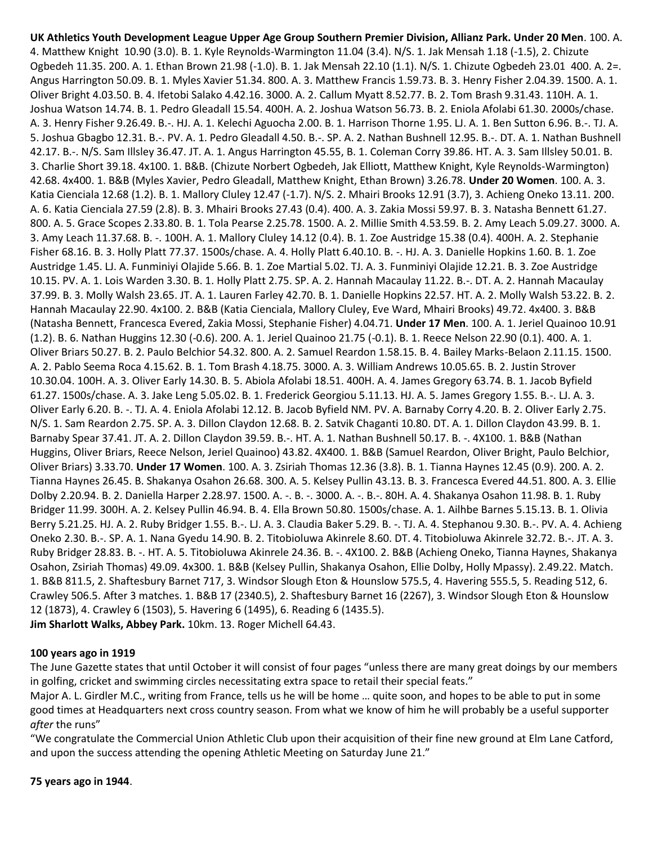**UK Athletics Youth Development League Upper Age Group Southern Premier Division, Allianz Park. Under 20 Men**. 100. A. 4. Matthew Knight 10.90 (3.0). B. 1. Kyle Reynolds-Warmington 11.04 (3.4). N/S. 1. Jak Mensah 1.18 (-1.5), 2. Chizute Ogbedeh 11.35. 200. A. 1. Ethan Brown 21.98 (-1.0). B. 1. Jak Mensah 22.10 (1.1). N/S. 1. Chizute Ogbedeh 23.01 400. A. 2=. Angus Harrington 50.09. B. 1. Myles Xavier 51.34. 800. A. 3. Matthew Francis 1.59.73. B. 3. Henry Fisher 2.04.39. 1500. A. 1. Oliver Bright 4.03.50. B. 4. Ifetobi Salako 4.42.16. 3000. A. 2. Callum Myatt 8.52.77. B. 2. Tom Brash 9.31.43. 110H. A. 1. Joshua Watson 14.74. B. 1. Pedro Gleadall 15.54. 400H. A. 2. Joshua Watson 56.73. B. 2. Eniola Afolabi 61.30. 2000s/chase. A. 3. Henry Fisher 9.26.49. B.-. HJ. A. 1. Kelechi Aguocha 2.00. B. 1. Harrison Thorne 1.95. LJ. A. 1. Ben Sutton 6.96. B.-. TJ. A. 5. Joshua Gbagbo 12.31. B.-. PV. A. 1. Pedro Gleadall 4.50. B.-. SP. A. 2. Nathan Bushnell 12.95. B.-. DT. A. 1. Nathan Bushnell 42.17. B.-. N/S. Sam Illsley 36.47. JT. A. 1. Angus Harrington 45.55, B. 1. Coleman Corry 39.86. HT. A. 3. Sam Illsley 50.01. B. 3. Charlie Short 39.18. 4x100. 1. B&B. (Chizute Norbert Ogbedeh, Jak Elliott, Matthew Knight, Kyle Reynolds-Warmington) 42.68. 4x400. 1. B&B (Myles Xavier, Pedro Gleadall, Matthew Knight, Ethan Brown) 3.26.78. **Under 20 Women**. 100. A. 3. Katia Cienciala 12.68 (1.2). B. 1. Mallory Cluley 12.47 (-1.7). N/S. 2. Mhairi Brooks 12.91 (3.7), 3. Achieng Oneko 13.11. 200. A. 6. Katia Cienciala 27.59 (2.8). B. 3. Mhairi Brooks 27.43 (0.4). 400. A. 3. Zakia Mossi 59.97. B. 3. Natasha Bennett 61.27. 800. A. 5. Grace Scopes 2.33.80. B. 1. Tola Pearse 2.25.78. 1500. A. 2. Millie Smith 4.53.59. B. 2. Amy Leach 5.09.27. 3000. A. 3. Amy Leach 11.37.68. B. -. 100H. A. 1. Mallory Cluley 14.12 (0.4). B. 1. Zoe Austridge 15.38 (0.4). 400H. A. 2. Stephanie Fisher 68.16. B. 3. Holly Platt 77.37. 1500s/chase. A. 4. Holly Platt 6.40.10. B. -. HJ. A. 3. Danielle Hopkins 1.60. B. 1. Zoe Austridge 1.45. LJ. A. Funminiyi Olajide 5.66. B. 1. Zoe Martial 5.02. TJ. A. 3. Funminiyi Olajide 12.21. B. 3. Zoe Austridge 10.15. PV. A. 1. Lois Warden 3.30. B. 1. Holly Platt 2.75. SP. A. 2. Hannah Macaulay 11.22. B.-. DT. A. 2. Hannah Macaulay 37.99. B. 3. Molly Walsh 23.65. JT. A. 1. Lauren Farley 42.70. B. 1. Danielle Hopkins 22.57. HT. A. 2. Molly Walsh 53.22. B. 2. Hannah Macaulay 22.90. 4x100. 2. B&B (Katia Cienciala, Mallory Cluley, Eve Ward, Mhairi Brooks) 49.72. 4x400. 3. B&B (Natasha Bennett, Francesca Evered, Zakia Mossi, Stephanie Fisher) 4.04.71. **Under 17 Men**. 100. A. 1. Jeriel Quainoo 10.91 (1.2). B. 6. Nathan Huggins 12.30 (-0.6). 200. A. 1. Jeriel Quainoo 21.75 (-0.1). B. 1. Reece Nelson 22.90 (0.1). 400. A. 1. Oliver Briars 50.27. B. 2. Paulo Belchior 54.32. 800. A. 2. Samuel Reardon 1.58.15. B. 4. Bailey Marks-Belaon 2.11.15. 1500. A. 2. Pablo Seema Roca 4.15.62. B. 1. Tom Brash 4.18.75. 3000. A. 3. William Andrews 10.05.65. B. 2. Justin Strover 10.30.04. 100H. A. 3. Oliver Early 14.30. B. 5. Abiola Afolabi 18.51. 400H. A. 4. James Gregory 63.74. B. 1. Jacob Byfield 61.27. 1500s/chase. A. 3. Jake Leng 5.05.02. B. 1. Frederick Georgiou 5.11.13. HJ. A. 5. James Gregory 1.55. B.-. LJ. A. 3. Oliver Early 6.20. B. -. TJ. A. 4. Eniola Afolabi 12.12. B. Jacob Byfield NM. PV. A. Barnaby Corry 4.20. B. 2. Oliver Early 2.75. N/S. 1. Sam Reardon 2.75. SP. A. 3. Dillon Claydon 12.68. B. 2. Satvik Chaganti 10.80. DT. A. 1. Dillon Claydon 43.99. B. 1. Barnaby Spear 37.41. JT. A. 2. Dillon Claydon 39.59. B.-. HT. A. 1. Nathan Bushnell 50.17. B. -. 4X100. 1. B&B (Nathan Huggins, Oliver Briars, Reece Nelson, Jeriel Quainoo) 43.82. 4X400. 1. B&B (Samuel Reardon, Oliver Bright, Paulo Belchior, Oliver Briars) 3.33.70. **Under 17 Women**. 100. A. 3. Zsiriah Thomas 12.36 (3.8). B. 1. Tianna Haynes 12.45 (0.9). 200. A. 2. Tianna Haynes 26.45. B. Shakanya Osahon 26.68. 300. A. 5. Kelsey Pullin 43.13. B. 3. Francesca Evered 44.51. 800. A. 3. Ellie Dolby 2.20.94. B. 2. Daniella Harper 2.28.97. 1500. A. -. B. -. 3000. A. -. B.-. 80H. A. 4. Shakanya Osahon 11.98. B. 1. Ruby Bridger 11.99. 300H. A. 2. Kelsey Pullin 46.94. B. 4. Ella Brown 50.80. 1500s/chase. A. 1. Ailhbe Barnes 5.15.13. B. 1. Olivia Berry 5.21.25. HJ. A. 2. Ruby Bridger 1.55. B.-. LJ. A. 3. Claudia Baker 5.29. B. -. TJ. A. 4. Stephanou 9.30. B.-. PV. A. 4. Achieng Oneko 2.30. B.-. SP. A. 1. Nana Gyedu 14.90. B. 2. Titobioluwa Akinrele 8.60. DT. 4. Titobioluwa Akinrele 32.72. B.-. JT. A. 3. Ruby Bridger 28.83. B. -. HT. A. 5. Titobioluwa Akinrele 24.36. B. -. 4X100. 2. B&B (Achieng Oneko, Tianna Haynes, Shakanya Osahon, Zsiriah Thomas) 49.09. 4x300. 1. B&B (Kelsey Pullin, Shakanya Osahon, Ellie Dolby, Holly Mpassy). 2.49.22. Match. 1. B&B 811.5, 2. Shaftesbury Barnet 717, 3. Windsor Slough Eton & Hounslow 575.5, 4. Havering 555.5, 5. Reading 512, 6. Crawley 506.5. After 3 matches. 1. B&B 17 (2340.5), 2. Shaftesbury Barnet 16 (2267), 3. Windsor Slough Eton & Hounslow 12 (1873), 4. Crawley 6 (1503), 5. Havering 6 (1495), 6. Reading 6 (1435.5). **Jim Sharlott Walks, Abbey Park.** 10km. 13. Roger Michell 64.43.

#### **100 years ago in 1919**

The June Gazette states that until October it will consist of four pages "unless there are many great doings by our members in golfing, cricket and swimming circles necessitating extra space to retail their special feats."

Major A. L. Girdler M.C., writing from France, tells us he will be home … quite soon, and hopes to be able to put in some good times at Headquarters next cross country season. From what we know of him he will probably be a useful supporter *after* the runs"

"We congratulate the Commercial Union Athletic Club upon their acquisition of their fine new ground at Elm Lane Catford, and upon the success attending the opening Athletic Meeting on Saturday June 21."

#### **75 years ago in 1944**.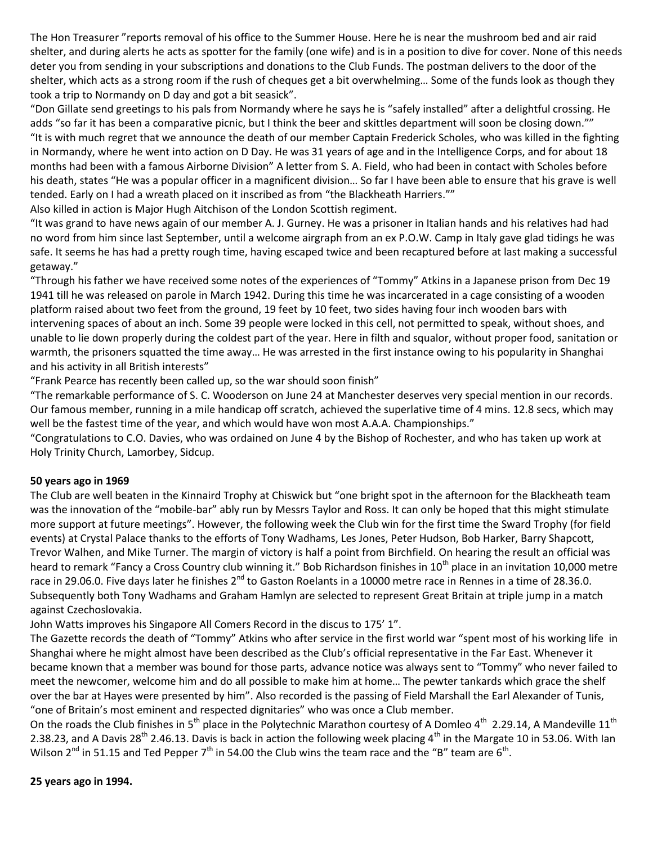The Hon Treasurer "reports removal of his office to the Summer House. Here he is near the mushroom bed and air raid shelter, and during alerts he acts as spotter for the family (one wife) and is in a position to dive for cover. None of this needs deter you from sending in your subscriptions and donations to the Club Funds. The postman delivers to the door of the shelter, which acts as a strong room if the rush of cheques get a bit overwhelming… Some of the funds look as though they took a trip to Normandy on D day and got a bit seasick".

"Don Gillate send greetings to his pals from Normandy where he says he is "safely installed" after a delightful crossing. He adds "so far it has been a comparative picnic, but I think the beer and skittles department will soon be closing down."" "It is with much regret that we announce the death of our member Captain Frederick Scholes, who was killed in the fighting in Normandy, where he went into action on D Day. He was 31 years of age and in the Intelligence Corps, and for about 18 months had been with a famous Airborne Division" A letter from S. A. Field, who had been in contact with Scholes before his death, states "He was a popular officer in a magnificent division… So far I have been able to ensure that his grave is well tended. Early on I had a wreath placed on it inscribed as from "the Blackheath Harriers.""

Also killed in action is Major Hugh Aitchison of the London Scottish regiment.

"It was grand to have news again of our member A. J. Gurney. He was a prisoner in Italian hands and his relatives had had no word from him since last September, until a welcome airgraph from an ex P.O.W. Camp in Italy gave glad tidings he was safe. It seems he has had a pretty rough time, having escaped twice and been recaptured before at last making a successful getaway."

"Through his father we have received some notes of the experiences of "Tommy" Atkins in a Japanese prison from Dec 19 1941 till he was released on parole in March 1942. During this time he was incarcerated in a cage consisting of a wooden platform raised about two feet from the ground, 19 feet by 10 feet, two sides having four inch wooden bars with intervening spaces of about an inch. Some 39 people were locked in this cell, not permitted to speak, without shoes, and unable to lie down properly during the coldest part of the year. Here in filth and squalor, without proper food, sanitation or warmth, the prisoners squatted the time away… He was arrested in the first instance owing to his popularity in Shanghai and his activity in all British interests"

"Frank Pearce has recently been called up, so the war should soon finish"

"The remarkable performance of S. C. Wooderson on June 24 at Manchester deserves very special mention in our records. Our famous member, running in a mile handicap off scratch, achieved the superlative time of 4 mins. 12.8 secs, which may well be the fastest time of the year, and which would have won most A.A.A. Championships."

"Congratulations to C.O. Davies, who was ordained on June 4 by the Bishop of Rochester, and who has taken up work at Holy Trinity Church, Lamorbey, Sidcup.

#### **50 years ago in 1969**

The Club are well beaten in the Kinnaird Trophy at Chiswick but "one bright spot in the afternoon for the Blackheath team was the innovation of the "mobile-bar" ably run by Messrs Taylor and Ross. It can only be hoped that this might stimulate more support at future meetings". However, the following week the Club win for the first time the Sward Trophy (for field events) at Crystal Palace thanks to the efforts of Tony Wadhams, Les Jones, Peter Hudson, Bob Harker, Barry Shapcott, Trevor Walhen, and Mike Turner. The margin of victory is half a point from Birchfield. On hearing the result an official was heard to remark "Fancy a Cross Country club winning it." Bob Richardson finishes in 10<sup>th</sup> place in an invitation 10,000 metre race in 29.06.0. Five days later he finishes 2<sup>nd</sup> to Gaston Roelants in a 10000 metre race in Rennes in a time of 28.36.0. Subsequently both Tony Wadhams and Graham Hamlyn are selected to represent Great Britain at triple jump in a match against Czechoslovakia.

John Watts improves his Singapore All Comers Record in the discus to 175' 1".

The Gazette records the death of "Tommy" Atkins who after service in the first world war "spent most of his working life in Shanghai where he might almost have been described as the Club's official representative in the Far East. Whenever it became known that a member was bound for those parts, advance notice was always sent to "Tommy" who never failed to meet the newcomer, welcome him and do all possible to make him at home… The pewter tankards which grace the shelf over the bar at Hayes were presented by him". Also recorded is the passing of Field Marshall the Earl Alexander of Tunis, "one of Britain's most eminent and respected dignitaries" who was once a Club member.

On the roads the Club finishes in 5<sup>th</sup> place in the Polytechnic Marathon courtesy of A Domleo 4<sup>th</sup> 2.29.14, A Mandeville 11<sup>th</sup> 2.38.23, and A Davis 28<sup>th</sup> 2.46.13. Davis is back in action the following week placing 4<sup>th</sup> in the Margate 10 in 53.06. With Ian Wilson 2<sup>nd</sup> in 51.15 and Ted Pepper 7<sup>th</sup> in 54.00 the Club wins the team race and the "B" team are 6<sup>th</sup>.

**25 years ago in 1994.**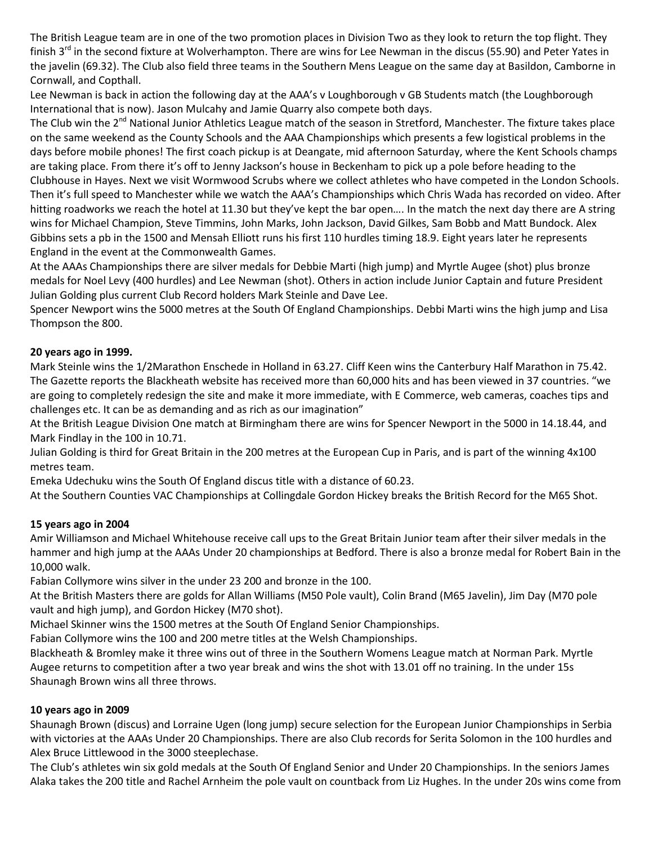The British League team are in one of the two promotion places in Division Two as they look to return the top flight. They finish  $3<sup>rd</sup>$  in the second fixture at Wolverhampton. There are wins for Lee Newman in the discus (55.90) and Peter Yates in the javelin (69.32). The Club also field three teams in the Southern Mens League on the same day at Basildon, Camborne in Cornwall, and Copthall.

Lee Newman is back in action the following day at the AAA's v Loughborough v GB Students match (the Loughborough International that is now). Jason Mulcahy and Jamie Quarry also compete both days.

The Club win the 2<sup>nd</sup> National Junior Athletics League match of the season in Stretford, Manchester. The fixture takes place on the same weekend as the County Schools and the AAA Championships which presents a few logistical problems in the days before mobile phones! The first coach pickup is at Deangate, mid afternoon Saturday, where the Kent Schools champs are taking place. From there it's off to Jenny Jackson's house in Beckenham to pick up a pole before heading to the Clubhouse in Hayes. Next we visit Wormwood Scrubs where we collect athletes who have competed in the London Schools. Then it's full speed to Manchester while we watch the AAA's Championships which Chris Wada has recorded on video. After hitting roadworks we reach the hotel at 11.30 but they've kept the bar open…. In the match the next day there are A string wins for Michael Champion, Steve Timmins, John Marks, John Jackson, David Gilkes, Sam Bobb and Matt Bundock. Alex Gibbins sets a pb in the 1500 and Mensah Elliott runs his first 110 hurdles timing 18.9. Eight years later he represents England in the event at the Commonwealth Games.

At the AAAs Championships there are silver medals for Debbie Marti (high jump) and Myrtle Augee (shot) plus bronze medals for Noel Levy (400 hurdles) and Lee Newman (shot). Others in action include Junior Captain and future President Julian Golding plus current Club Record holders Mark Steinle and Dave Lee.

Spencer Newport wins the 5000 metres at the South Of England Championships. Debbi Marti wins the high jump and Lisa Thompson the 800.

#### **20 years ago in 1999.**

Mark Steinle wins the 1/2Marathon Enschede in Holland in 63.27. Cliff Keen wins the Canterbury Half Marathon in 75.42. The Gazette reports the Blackheath website has received more than 60,000 hits and has been viewed in 37 countries. "we are going to completely redesign the site and make it more immediate, with E Commerce, web cameras, coaches tips and challenges etc. It can be as demanding and as rich as our imagination"

At the British League Division One match at Birmingham there are wins for Spencer Newport in the 5000 in 14.18.44, and Mark Findlay in the 100 in 10.71.

Julian Golding is third for Great Britain in the 200 metres at the European Cup in Paris, and is part of the winning 4x100 metres team.

Emeka Udechuku wins the South Of England discus title with a distance of 60.23.

At the Southern Counties VAC Championships at Collingdale Gordon Hickey breaks the British Record for the M65 Shot.

#### **15 years ago in 2004**

Amir Williamson and Michael Whitehouse receive call ups to the Great Britain Junior team after their silver medals in the hammer and high jump at the AAAs Under 20 championships at Bedford. There is also a bronze medal for Robert Bain in the 10,000 walk.

Fabian Collymore wins silver in the under 23 200 and bronze in the 100.

At the British Masters there are golds for Allan Williams (M50 Pole vault), Colin Brand (M65 Javelin), Jim Day (M70 pole vault and high jump), and Gordon Hickey (M70 shot).

Michael Skinner wins the 1500 metres at the South Of England Senior Championships.

Fabian Collymore wins the 100 and 200 metre titles at the Welsh Championships.

Blackheath & Bromley make it three wins out of three in the Southern Womens League match at Norman Park. Myrtle Augee returns to competition after a two year break and wins the shot with 13.01 off no training. In the under 15s Shaunagh Brown wins all three throws.

### **10 years ago in 2009**

Shaunagh Brown (discus) and Lorraine Ugen (long jump) secure selection for the European Junior Championships in Serbia with victories at the AAAs Under 20 Championships. There are also Club records for Serita Solomon in the 100 hurdles and Alex Bruce Littlewood in the 3000 steeplechase.

The Club's athletes win six gold medals at the South Of England Senior and Under 20 Championships. In the seniors James Alaka takes the 200 title and Rachel Arnheim the pole vault on countback from Liz Hughes. In the under 20s wins come from